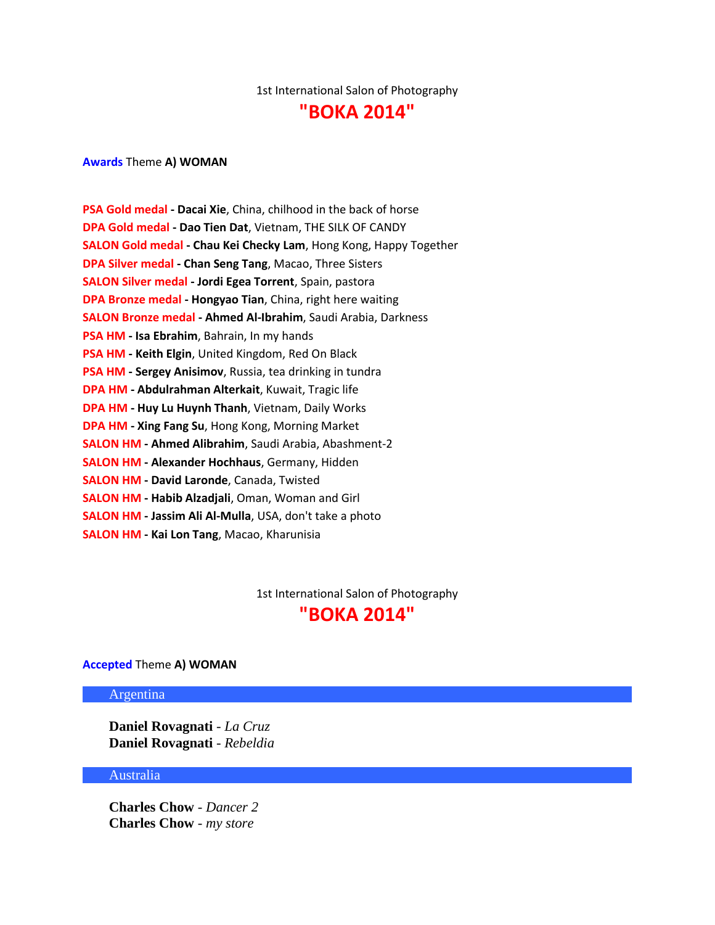1st International Salon of Photography

# **"BOKA 2014"**

**Awards** Theme **A) WOMAN**

| <b>PSA Gold medal - Dacai Xie, China, chilhood in the back of horse</b> |
|-------------------------------------------------------------------------|
| DPA Gold medal - Dao Tien Dat, Vietnam, THE SILK OF CANDY               |
| SALON Gold medal - Chau Kei Checky Lam, Hong Kong, Happy Together       |
| <b>DPA Silver medal - Chan Seng Tang, Macao, Three Sisters</b>          |
| <b>SALON Silver medal - Jordi Egea Torrent</b> , Spain, pastora         |
| <b>DPA Bronze medal - Hongyao Tian, China, right here waiting</b>       |
| <b>SALON Bronze medal - Ahmed Al-Ibrahim, Saudi Arabia, Darkness</b>    |
| <b>PSA HM - Isa Ebrahim</b> , Bahrain, In my hands                      |
| <b>PSA HM - Keith Elgin, United Kingdom, Red On Black</b>               |
| PSA HM - Sergey Anisimov, Russia, tea drinking in tundra                |
| DPA HM - Abdulrahman Alterkait, Kuwait, Tragic life                     |
| <b>DPA HM - Huy Lu Huynh Thanh, Vietnam, Daily Works</b>                |
| <b>DPA HM - Xing Fang Su, Hong Kong, Morning Market</b>                 |
| <b>SALON HM - Ahmed Alibrahim</b> , Saudi Arabia, Abashment-2           |
| <b>SALON HM - Alexander Hochhaus</b> , Germany, Hidden                  |
| <b>SALON HM - David Laronde, Canada, Twisted</b>                        |
| <b>SALON HM - Habib Alzadjali, Oman, Woman and Girl</b>                 |
| SALON HM - Jassim Ali Al-Mulla, USA, don't take a photo                 |
| <b>SALON HM - Kai Lon Tang, Macao, Kharunisia</b>                       |

1st International Salon of Photography

# **"BOKA 2014"**

# **Accepted** Theme **A) WOMAN**

# Argentina

**Daniel Rovagnati** - *La Cruz* **Daniel Rovagnati** - *Rebeldia*

# Australia

**Charles Chow** - *Dancer 2* **Charles Chow** - *my store*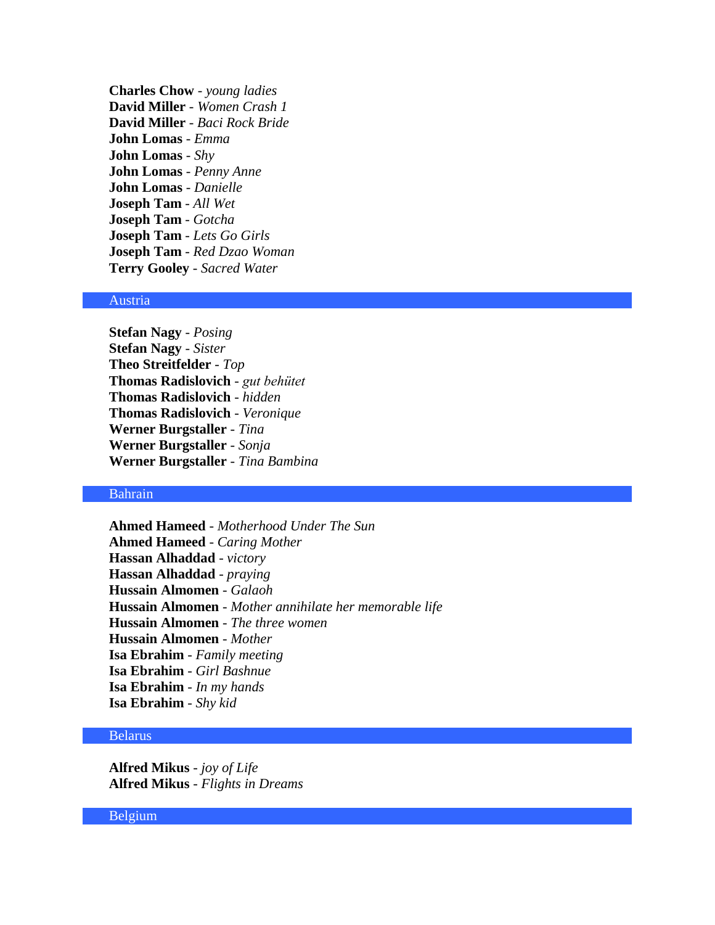**Charles Chow** - *young ladies* **David Miller** - *Women Crash 1* **David Miller** - *Baci Rock Bride* **John Lomas** - *Emma* **John Lomas** - *Shy* **John Lomas** - *Penny Anne* **John Lomas** - *Danielle* **Joseph Tam** - *All Wet* **Joseph Tam** - *Gotcha* **Joseph Tam** - *Lets Go Girls* **Joseph Tam** - *Red Dzao Woman* **Terry Gooley** - *Sacred Water*

# Austria

**Stefan Nagy** - *Posing* **Stefan Nagy** - *Sister* **Theo Streitfelder** - *Top* **Thomas Radislovich** - *gut behütet* **Thomas Radislovich** - *hidden* **Thomas Radislovich** - *Veronique* **Werner Burgstaller** - *Tina* **Werner Burgstaller** - *Sonja* **Werner Burgstaller** - *Tina Bambina*

# Bahrain

**Ahmed Hameed** - *Motherhood Under The Sun* **Ahmed Hameed** - *Caring Mother* **Hassan Alhaddad** - *victory* **Hassan Alhaddad** - *praying* **Hussain Almomen** - *Galaoh* **Hussain Almomen** - *Mother annihilate her memorable life* **Hussain Almomen** - *The three women* **Hussain Almomen** - *Mother* **Isa Ebrahim** - *Family meeting* **Isa Ebrahim** - *Girl Bashnue* **Isa Ebrahim** - *In my hands* **Isa Ebrahim** - *Shy kid*

#### Belarus

**Alfred Mikus** - *joy of Life* **Alfred Mikus** - *Flights in Dreams*

#### Belgium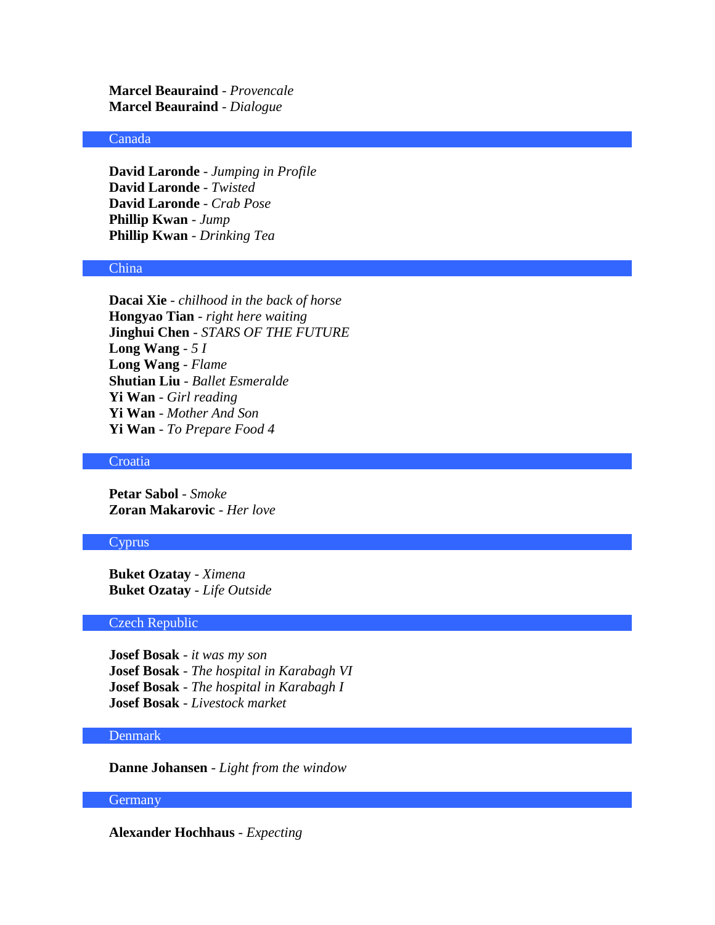**Marcel Beauraind** - *Provencale* **Marcel Beauraind** - *Dialogue*

#### Canada

**David Laronde** - *Jumping in Profile* **David Laronde** - *Twisted* **David Laronde** - *Crab Pose* **Phillip Kwan** - *Jump* **Phillip Kwan** - *Drinking Tea*

#### China

**Dacai Xie** - *chilhood in the back of horse* **Hongyao Tian** - *right here waiting* **Jinghui Chen** - *STARS OF THE FUTURE* **Long Wang** - *5 I* **Long Wang** - *Flame* **Shutian Liu** - *Ballet Esmeralde* **Yi Wan** - *Girl reading* **Yi Wan** - *Mother And Son* **Yi Wan** - *To Prepare Food 4*

#### **Croatia**

**Petar Sabol** - *Smoke* **Zoran Makarovic** - *Her love*

#### Cyprus

**Buket Ozatay** - *Ximena* **Buket Ozatay** - *Life Outside*

#### Czech Republic

**Josef Bosak** - *it was my son* **Josef Bosak** - *The hospital in Karabagh VI* **Josef Bosak** - *The hospital in Karabagh I* **Josef Bosak** - *Livestock market*

#### Denmark

**Danne Johansen** - *Light from the window*

#### **Germany**

**Alexander Hochhaus** - *Expecting*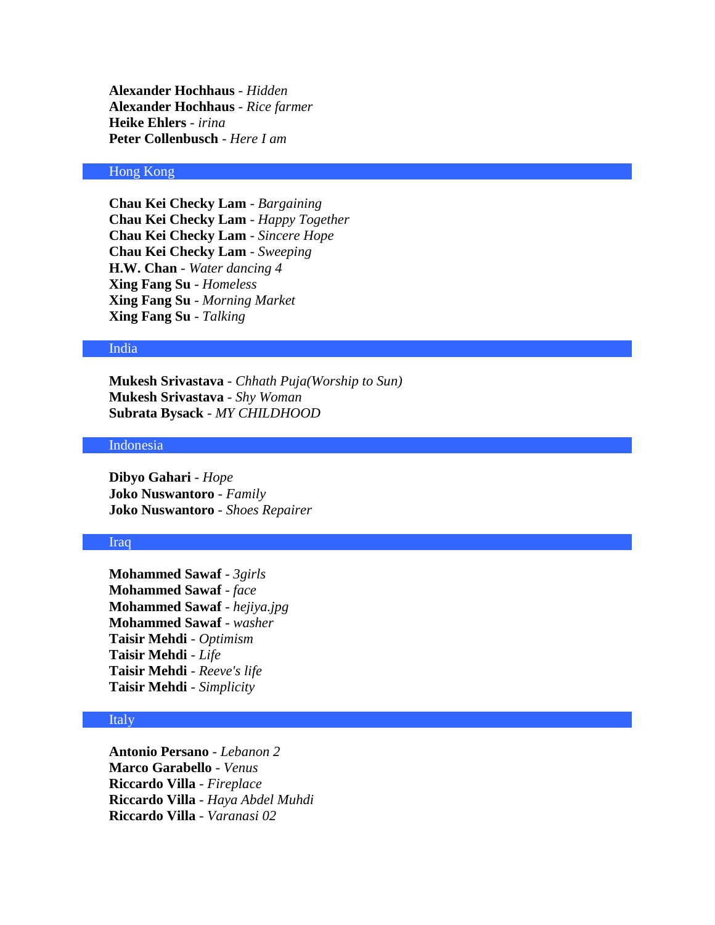**Alexander Hochhaus** - *Hidden* **Alexander Hochhaus** - *Rice farmer* **Heike Ehlers** - *irina* **Peter Collenbusch** - *Here I am*

## Hong Kong

**Chau Kei Checky Lam** - *Bargaining* **Chau Kei Checky Lam** - *Happy Together* **Chau Kei Checky Lam** - *Sincere Hope* **Chau Kei Checky Lam** - *Sweeping* **H.W. Chan** - *Water dancing 4* **Xing Fang Su** - *Homeless* **Xing Fang Su** - *Morning Market* **Xing Fang Su** - *Talking*

## India

**Mukesh Srivastava** - *Chhath Puja(Worship to Sun)* **Mukesh Srivastava** - *Shy Woman* **Subrata Bysack** - *MY CHILDHOOD*

#### Indonesia

**Dibyo Gahari** - *Hope* **Joko Nuswantoro** - *Family* **Joko Nuswantoro** - *Shoes Repairer*

## Iraq

**Mohammed Sawaf** - *3girls* **Mohammed Sawaf** - *face* **Mohammed Sawaf** - *hejiya.jpg* **Mohammed Sawaf** - *washer* **Taisir Mehdi** - *Optimism* **Taisir Mehdi** - *Life* **Taisir Mehdi** - *Reeve's life* **Taisir Mehdi** - *Simplicity*

# Italy

**Antonio Persano** - *Lebanon 2* **Marco Garabello** - *Venus* **Riccardo Villa** - *Fireplace* **Riccardo Villa** - *Haya Abdel Muhdi* **Riccardo Villa** - *Varanasi 02*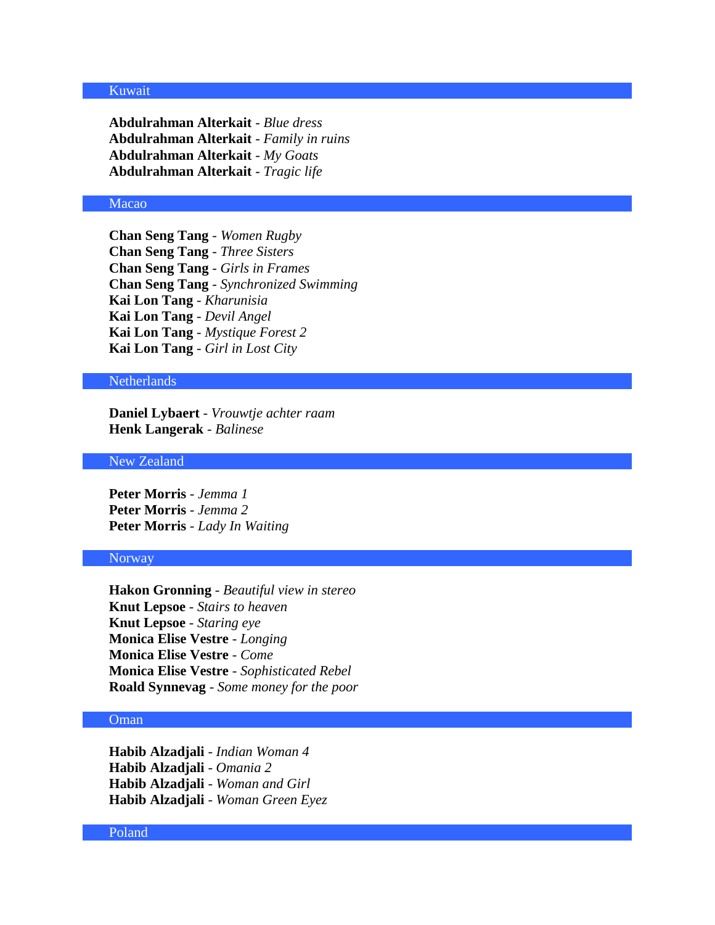#### Kuwait

**Abdulrahman Alterkait** - *Blue dress* **Abdulrahman Alterkait** - *Family in ruins* **Abdulrahman Alterkait** - *My Goats* **Abdulrahman Alterkait** - *Tragic life*

# Macao

**Chan Seng Tang** - *Women Rugby* **Chan Seng Tang** - *Three Sisters* **Chan Seng Tang** - *Girls in Frames* **Chan Seng Tang** - *Synchronized Swimming* **Kai Lon Tang** - *Kharunisia* **Kai Lon Tang** - *Devil Angel* **Kai Lon Tang** - *Mystique Forest 2* **Kai Lon Tang** - *Girl in Lost City*

# **Netherlands**

**Daniel Lybaert** - *Vrouwtje achter raam* **Henk Langerak** - *Balinese*

#### New Zealand

**Peter Morris** - *Jemma 1* **Peter Morris** - *Jemma 2* **Peter Morris** - *Lady In Waiting*

## Norway

**Hakon Gronning** - *Beautiful view in stereo* **Knut Lepsoe** - *Stairs to heaven* **Knut Lepsoe** - *Staring eye* **Monica Elise Vestre** - *Longing* **Monica Elise Vestre** - *Come* **Monica Elise Vestre** - *Sophisticated Rebel* **Roald Synnevag** - *Some money for the poor*

# Oman

**Habib Alzadjali** - *Indian Woman 4* **Habib Alzadjali** - *Omania 2* **Habib Alzadjali** - *Woman and Girl* **Habib Alzadjali** - *Woman Green Eyez*

## Poland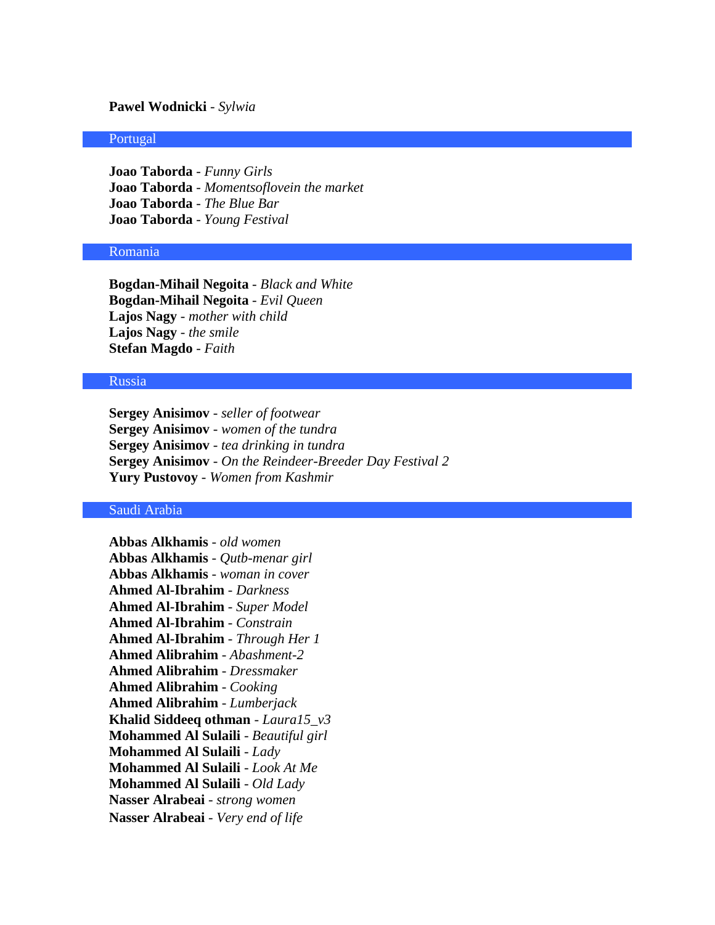#### **Pawel Wodnicki** - *Sylwia*

#### Portugal

**Joao Taborda** - *Funny Girls* **Joao Taborda** - *Momentsoflovein the market* **Joao Taborda** - *The Blue Bar* **Joao Taborda** - *Young Festival*

#### Romania

**Bogdan-Mihail Negoita** - *Black and White* **Bogdan-Mihail Negoita** - *Evil Queen* **Lajos Nagy** - *mother with child* **Lajos Nagy** - *the smile* **Stefan Magdo** - *Faith*

# Russia

**Sergey Anisimov** - *seller of footwear* **Sergey Anisimov** - *women of the tundra* **Sergey Anisimov** - *tea drinking in tundra* **Sergey Anisimov** - *On the Reindeer-Breeder Day Festival 2* **Yury Pustovoy** - *Women from Kashmir*

#### Saudi Arabia

**Abbas Alkhamis** - *old women* **Abbas Alkhamis** - *Qutb-menar girl* **Abbas Alkhamis** - *woman in cover* **Ahmed Al-Ibrahim** - *Darkness* **Ahmed Al-Ibrahim** - *Super Model* **Ahmed Al-Ibrahim** - *Constrain* **Ahmed Al-Ibrahim** - *Through Her 1* **Ahmed Alibrahim** - *Abashment-2* **Ahmed Alibrahim** - *Dressmaker* **Ahmed Alibrahim** - *Cooking* **Ahmed Alibrahim** - *Lumberjack* **Khalid Siddeeq othman** - *Laura15\_v3* **Mohammed Al Sulaili** - *Beautiful girl* **Mohammed Al Sulaili** - *Lady* **Mohammed Al Sulaili** - *Look At Me* **Mohammed Al Sulaili** - *Old Lady* **Nasser Alrabeai** - *strong women* **Nasser Alrabeai** - *Very end of life*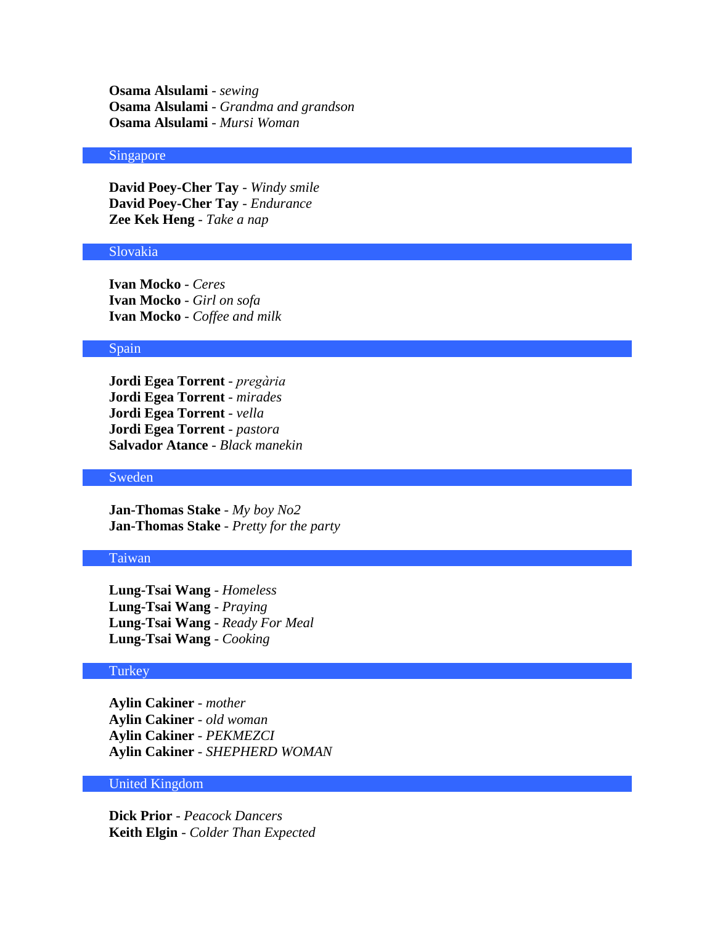**Osama Alsulami** - *sewing* **Osama Alsulami** - *Grandma and grandson* **Osama Alsulami** - *Mursi Woman*

# Singapore

**David Poey-Cher Tay** - *Windy smile* **David Poey-Cher Tay** - *Endurance* **Zee Kek Heng** - *Take a nap*

# Slovakia

**Ivan Mocko** - *Ceres* **Ivan Mocko** - *Girl on sofa* **Ivan Mocko** - *Coffee and milk*

#### Spain

**Jordi Egea Torrent** - *pregària* **Jordi Egea Torrent** - *mirades* **Jordi Egea Torrent** - *vella* **Jordi Egea Torrent** - *pastora* **Salvador Atance** - *Black manekin*

#### Sweden

**Jan-Thomas Stake** - *My boy No2* **Jan-Thomas Stake** - *Pretty for the party*

## Taiwan

**Lung-Tsai Wang** - *Homeless* **Lung-Tsai Wang** - *Praying* **Lung-Tsai Wang** - *Ready For Meal* **Lung-Tsai Wang** - *Cooking*

# **Turkey**

**Aylin Cakiner** - *mother* **Aylin Cakiner** - *old woman* **Aylin Cakiner** - *PEKMEZCI* **Aylin Cakiner** - *SHEPHERD WOMAN*

# United Kingdom

**Dick Prior** - *Peacock Dancers* **Keith Elgin** - *Colder Than Expected*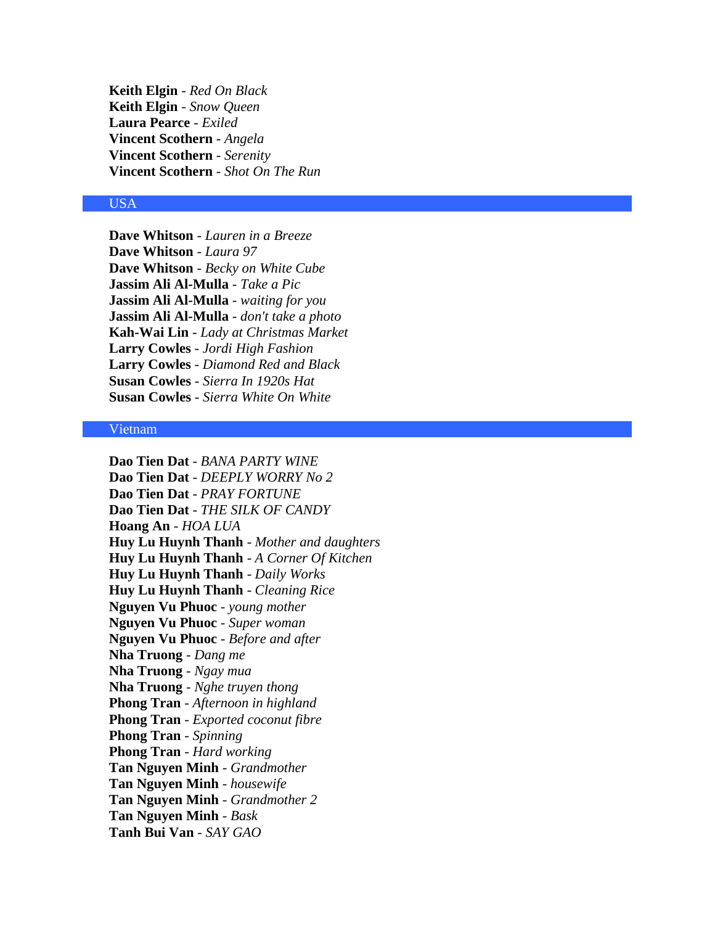**Keith Elgin** - *Red On Black* **Keith Elgin** - *Snow Queen* **Laura Pearce** - *Exiled* **Vincent Scothern** - *Angela* **Vincent Scothern** - *Serenity* **Vincent Scothern** - *Shot On The Run*

# USA

**Dave Whitson** - *Lauren in a Breeze* **Dave Whitson** - *Laura 97* **Dave Whitson** - *Becky on White Cube* **Jassim Ali Al-Mulla** - *Take a Pic* **Jassim Ali Al-Mulla** - *waiting for you* **Jassim Ali Al-Mulla** - *don't take a photo* **Kah-Wai Lin** - *Lady at Christmas Market* **Larry Cowles** - *Jordi High Fashion* **Larry Cowles** - *Diamond Red and Black* **Susan Cowles** - *Sierra In 1920s Hat* **Susan Cowles** - *Sierra White On White*

#### Vietnam

**Dao Tien Dat** - *BANA PARTY WINE* **Dao Tien Dat** - *DEEPLY WORRY No 2* **Dao Tien Dat** - *PRAY FORTUNE* **Dao Tien Dat** - *THE SILK OF CANDY* **Hoang An** - *HOA LUA* **Huy Lu Huynh Thanh** - *Mother and daughters* **Huy Lu Huynh Thanh** - *A Corner Of Kitchen* **Huy Lu Huynh Thanh** - *Daily Works* **Huy Lu Huynh Thanh** - *Cleaning Rice* **Nguyen Vu Phuoc** - *young mother* **Nguyen Vu Phuoc** - *Super woman* **Nguyen Vu Phuoc** - *Before and after* **Nha Truong** - *Dang me* **Nha Truong** - *Ngay mua* **Nha Truong** - *Nghe truyen thong* **Phong Tran** - *Afternoon in highland* **Phong Tran** - *Exported coconut fibre* **Phong Tran** - *Spinning* **Phong Tran** - *Hard working* **Tan Nguyen Minh** - *Grandmother* **Tan Nguyen Minh** - *housewife* **Tan Nguyen Minh** - *Grandmother 2* **Tan Nguyen Minh** - *Bask* **Tanh Bui Van** - *SAY GAO*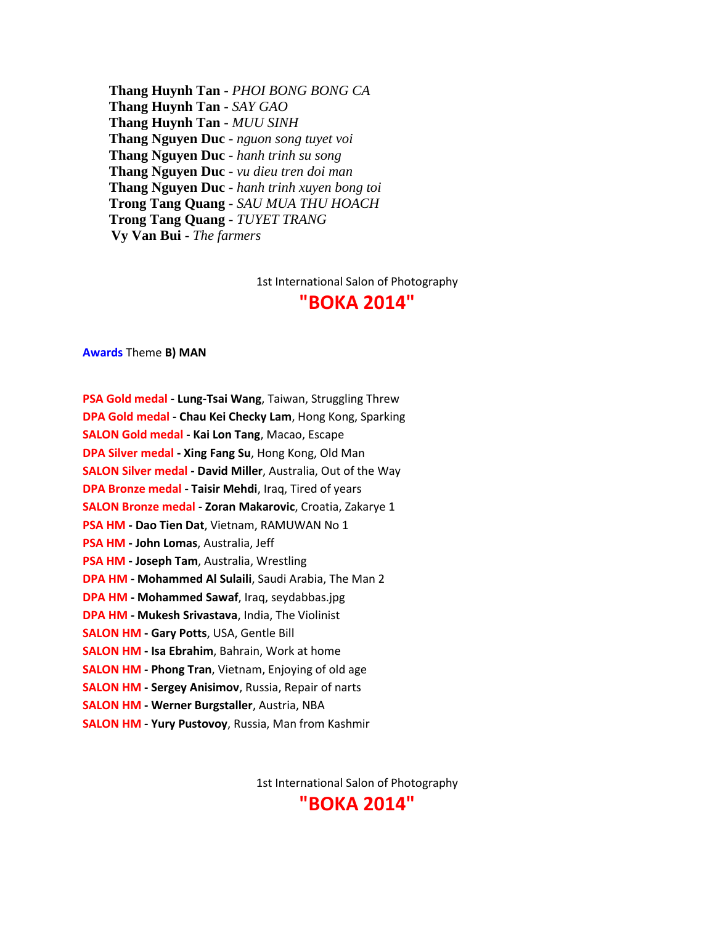**Thang Huynh Tan** - *PHOI BONG BONG CA* **Thang Huynh Tan** - *SAY GAO* **Thang Huynh Tan** - *MUU SINH* **Thang Nguyen Duc** - *nguon song tuyet voi* **Thang Nguyen Duc** - *hanh trinh su song* **Thang Nguyen Duc** - *vu dieu tren doi man* **Thang Nguyen Duc** - *hanh trinh xuyen bong toi* **Trong Tang Quang** - *SAU MUA THU HOACH* **Trong Tang Quang** - *TUYET TRANG* **Vy Van Bui** - *The farmers*

1st International Salon of Photography

# **"BOKA 2014"**

**Awards** Theme **B) MAN**

**PSA Gold medal - Lung-Tsai Wang**, Taiwan, Struggling Threw **DPA Gold medal - Chau Kei Checky Lam**, Hong Kong, Sparking **SALON Gold medal - Kai Lon Tang**, Macao, Escape **DPA Silver medal - Xing Fang Su**, Hong Kong, Old Man **SALON Silver medal - David Miller**, Australia, Out of the Way **DPA Bronze medal - Taisir Mehdi**, Iraq, Tired of years **SALON Bronze medal - Zoran Makarovic**, Croatia, Zakarye 1 **PSA HM - Dao Tien Dat**, Vietnam, RAMUWAN No 1 **PSA HM - John Lomas**, Australia, Jeff **PSA HM - Joseph Tam**, Australia, Wrestling **DPA HM - Mohammed Al Sulaili**, Saudi Arabia, The Man 2 **DPA HM - Mohammed Sawaf**, Iraq, seydabbas.jpg **DPA HM - Mukesh Srivastava**, India, The Violinist **SALON HM - Gary Potts**, USA, Gentle Bill **SALON HM - Isa Ebrahim**, Bahrain, Work at home **SALON HM - Phong Tran**, Vietnam, Enjoying of old age **SALON HM - Sergey Anisimov**, Russia, Repair of narts **SALON HM - Werner Burgstaller**, Austria, NBA **SALON HM - Yury Pustovoy**, Russia, Man from Kashmir

1st International Salon of Photography

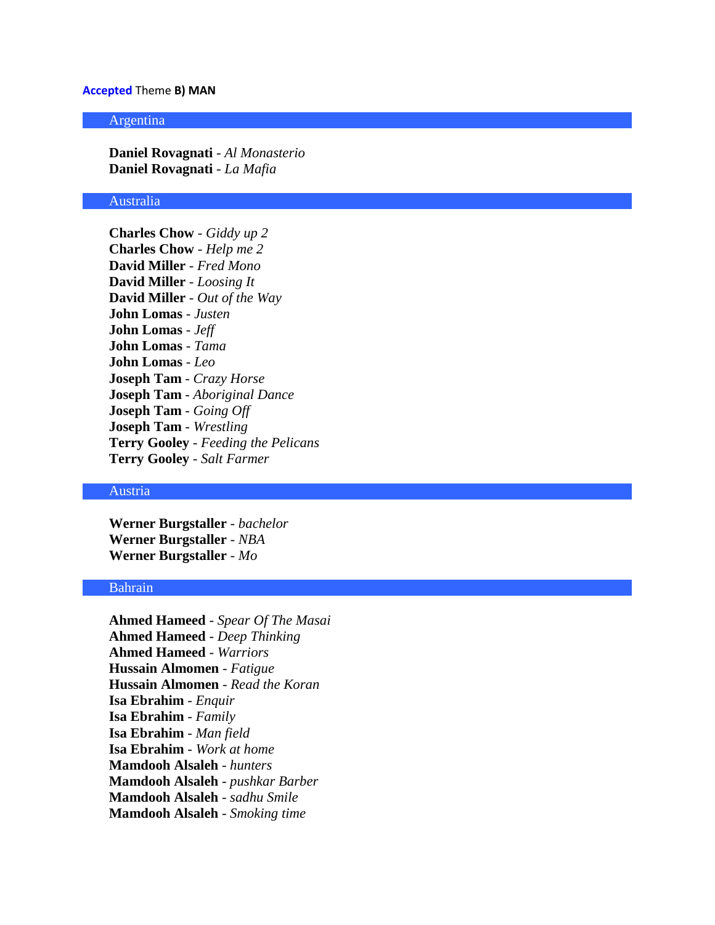#### **Accepted** Theme **B) MAN**

#### Argentina

**Daniel Rovagnati** - *Al Monasterio* **Daniel Rovagnati** - *La Mafia*

## Australia

**Charles Chow** - *Giddy up 2* **Charles Chow** - *Help me 2* **David Miller** - *Fred Mono* **David Miller** - *Loosing It* **David Miller** - *Out of the Way* **John Lomas** - *Justen* **John Lomas** - *Jeff* **John Lomas** - *Tama* **John Lomas** - *Leo* **Joseph Tam** - *Crazy Horse* **Joseph Tam** - *Aboriginal Dance* **Joseph Tam** - *Going Off* **Joseph Tam** - *Wrestling* **Terry Gooley** - *Feeding the Pelicans* **Terry Gooley** - *Salt Farmer*

# Austria

**Werner Burgstaller** - *bachelor* **Werner Burgstaller** - *NBA* **Werner Burgstaller** - *Mo*

#### Bahrain

**Ahmed Hameed** - *Spear Of The Masai* **Ahmed Hameed** - *Deep Thinking* **Ahmed Hameed** - *Warriors* **Hussain Almomen** - *Fatigue* **Hussain Almomen** - *Read the Koran* **Isa Ebrahim** - *Enquir* **Isa Ebrahim** - *Family* **Isa Ebrahim** - *Man field* **Isa Ebrahim** - *Work at home* **Mamdooh Alsaleh** - *hunters* **Mamdooh Alsaleh** - *pushkar Barber* **Mamdooh Alsaleh** - *sadhu Smile* **Mamdooh Alsaleh** - *Smoking time*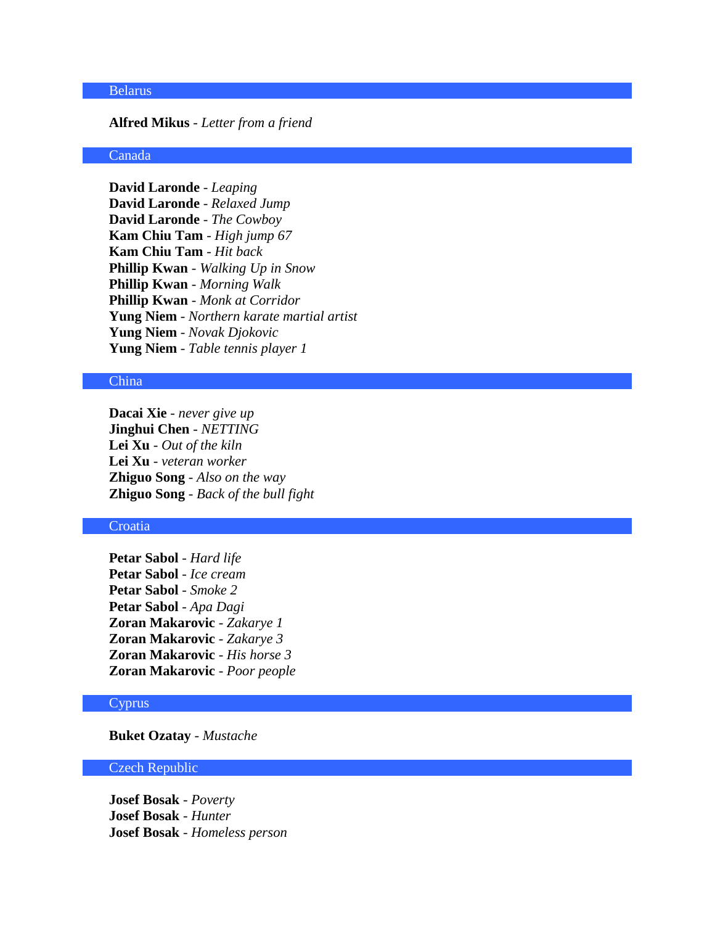# Belarus

# **Alfred Mikus** - *Letter from a friend*

# Canada

**David Laronde** - *Leaping* **David Laronde** - *Relaxed Jump* **David Laronde** - *The Cowboy* **Kam Chiu Tam** - *High jump 67* **Kam Chiu Tam** - *Hit back* **Phillip Kwan** - *Walking Up in Snow* **Phillip Kwan** - *Morning Walk* **Phillip Kwan** - *Monk at Corridor* **Yung Niem** - *Northern karate martial artist* **Yung Niem** - *Novak Djokovic* **Yung Niem** - *Table tennis player 1*

# China

**Dacai Xie** - *never give up* **Jinghui Chen** - *NETTING* **Lei Xu** - *Out of the kiln* **Lei Xu** - *veteran worker* **Zhiguo Song** - *Also on the way* **Zhiguo Song** - *Back of the bull fight*

#### **Croatia**

**Petar Sabol** - *Hard life* **Petar Sabol** - *Ice cream* **Petar Sabol** - *Smoke 2* **Petar Sabol** - *Apa Dagi* **Zoran Makarovic** - *Zakarye 1* **Zoran Makarovic** - *Zakarye 3* **Zoran Makarovic** - *His horse 3* **Zoran Makarovic** - *Poor people*

#### Cyprus

**Buket Ozatay** - *Mustache*

#### Czech Republic

**Josef Bosak** - *Poverty* **Josef Bosak** - *Hunter* **Josef Bosak** - *Homeless person*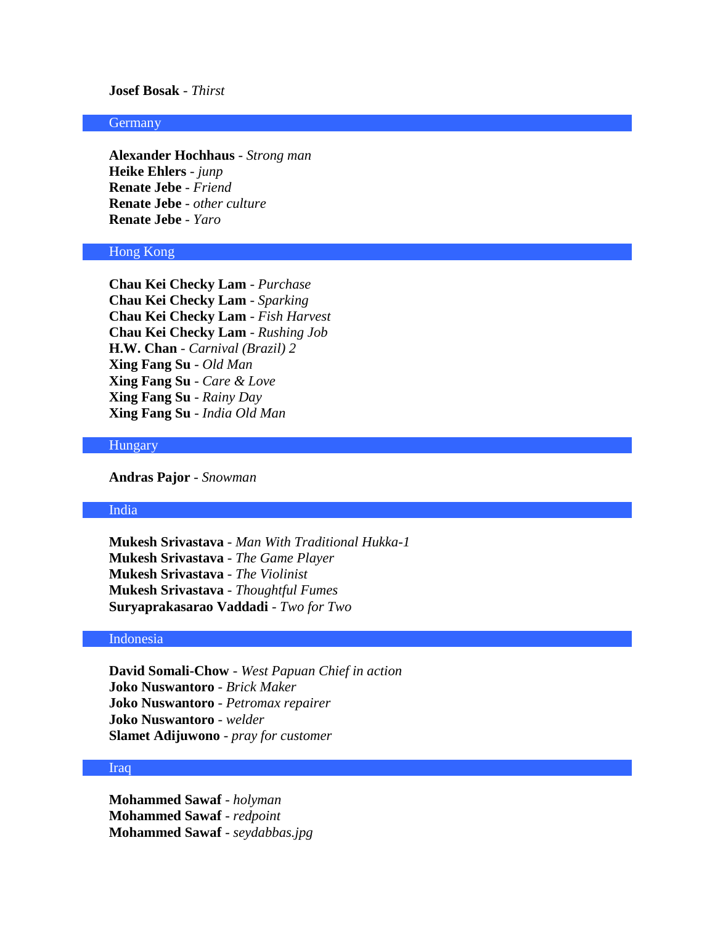# **Josef Bosak** - *Thirst*

## **Germany**

**Alexander Hochhaus** - *Strong man* **Heike Ehlers** - *junp* **Renate Jebe** - *Friend* **Renate Jebe** - *other culture* **Renate Jebe** - *Yaro*

# Hong Kong

**Chau Kei Checky Lam** - *Purchase* **Chau Kei Checky Lam** - *Sparking* **Chau Kei Checky Lam** - *Fish Harvest* **Chau Kei Checky Lam** - *Rushing Job* **H.W. Chan** - *Carnival (Brazil) 2* **Xing Fang Su** - *Old Man* **Xing Fang Su** - *Care & Love* **Xing Fang Su** - *Rainy Day* **Xing Fang Su** - *India Old Man*

## **Hungary**

**Andras Pajor** - *Snowman*

# India

**Mukesh Srivastava** - *Man With Traditional Hukka-1* **Mukesh Srivastava** - *The Game Player* **Mukesh Srivastava** - *The Violinist* **Mukesh Srivastava** - *Thoughtful Fumes* **Suryaprakasarao Vaddadi** - *Two for Two*

#### Indonesia

**David Somali-Chow** - *West Papuan Chief in action* **Joko Nuswantoro** - *Brick Maker* **Joko Nuswantoro** - *Petromax repairer* **Joko Nuswantoro** - *welder* **Slamet Adijuwono** - *pray for customer*

#### Iraq

**Mohammed Sawaf** - *holyman* **Mohammed Sawaf** - *redpoint* **Mohammed Sawaf** - *seydabbas.jpg*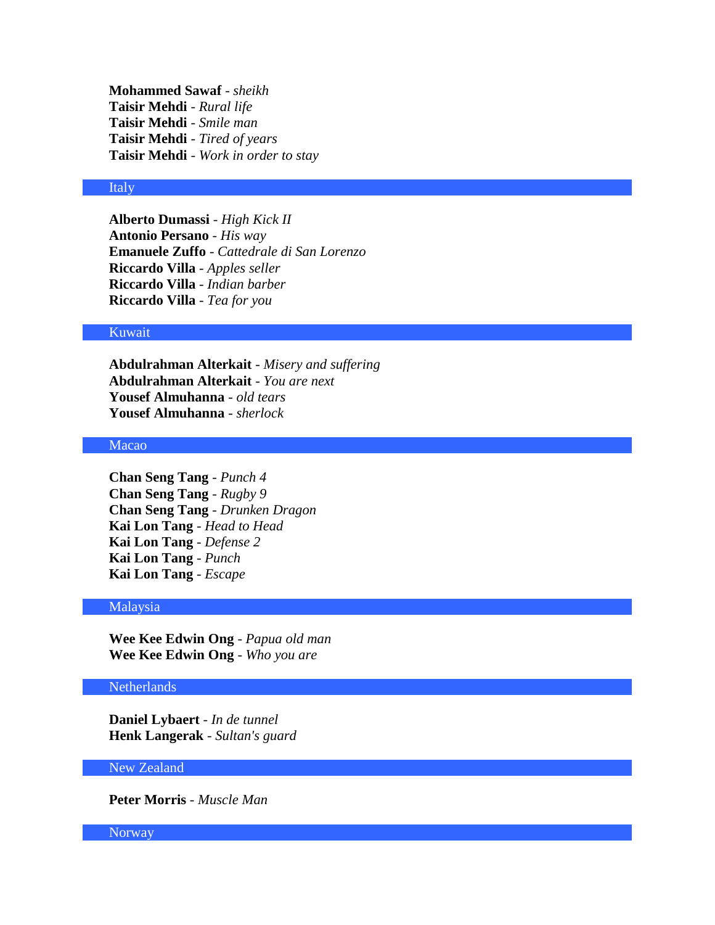**Mohammed Sawaf** - *sheikh* **Taisir Mehdi** - *Rural life* **Taisir Mehdi** - *Smile man* **Taisir Mehdi** - *Tired of years* **Taisir Mehdi** - *Work in order to stay*

#### Italy

**Alberto Dumassi** - *High Kick II* **Antonio Persano** - *His way* **Emanuele Zuffo** - *Cattedrale di San Lorenzo* **Riccardo Villa** - *Apples seller* **Riccardo Villa** - *Indian barber* **Riccardo Villa** - *Tea for you*

# Kuwait

**Abdulrahman Alterkait** - *Misery and suffering* **Abdulrahman Alterkait** - *You are next* **Yousef Almuhanna** - *old tears* **Yousef Almuhanna** - *sherlock*

# Macao

**Chan Seng Tang** - *Punch 4* **Chan Seng Tang** - *Rugby 9* **Chan Seng Tang** - *Drunken Dragon* **Kai Lon Tang** - *Head to Head* **Kai Lon Tang** - *Defense 2* **Kai Lon Tang** - *Punch* **Kai Lon Tang** - *Escape*

#### Malaysia

**Wee Kee Edwin Ong** - *Papua old man* **Wee Kee Edwin Ong** - *Who you are*

## Netherlands

**Daniel Lybaert** - *In de tunnel* **Henk Langerak** - *Sultan's guard*

New Zealand

**Peter Morris** - *Muscle Man*

#### Norway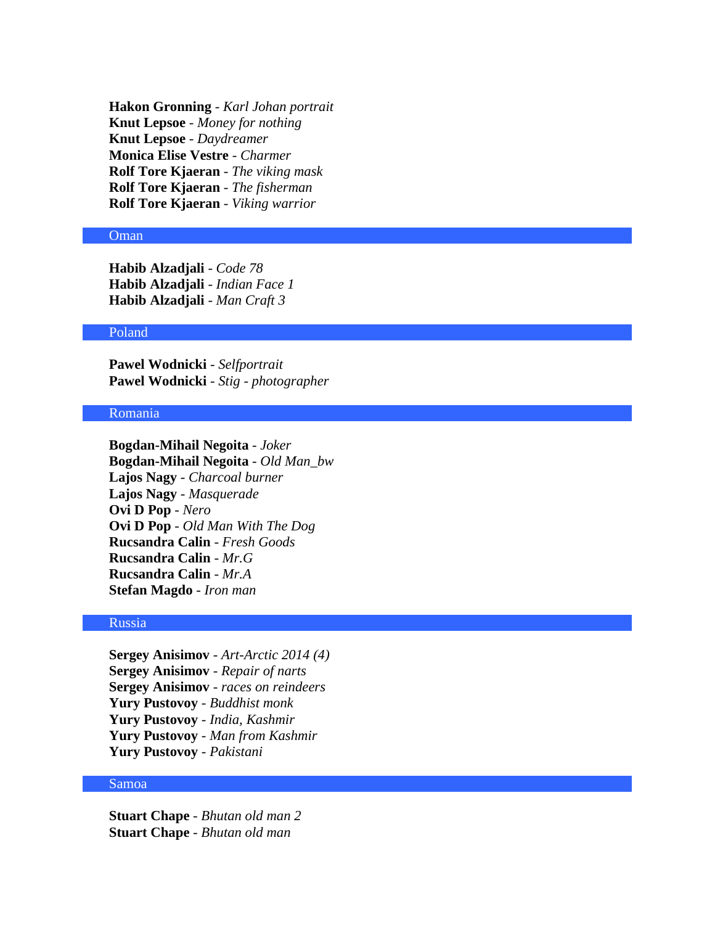**Hakon Gronning** - *Karl Johan portrait* **Knut Lepsoe** - *Money for nothing* **Knut Lepsoe** - *Daydreamer* **Monica Elise Vestre** - *Charmer* **Rolf Tore Kjaeran** - *The viking mask* **Rolf Tore Kjaeran** - *The fisherman* **Rolf Tore Kjaeran** - *Viking warrior*

## Oman

**Habib Alzadjali** - *Code 78* **Habib Alzadjali** - *Indian Face 1* **Habib Alzadjali** - *Man Craft 3*

#### Poland

**Pawel Wodnicki** - *Selfportrait* **Pawel Wodnicki** - *Stig - photographer*

# Romania

**Bogdan-Mihail Negoita** - *Joker* **Bogdan-Mihail Negoita** - *Old Man\_bw* **Lajos Nagy** - *Charcoal burner* **Lajos Nagy** - *Masquerade* **Ovi D Pop** - *Nero* **Ovi D Pop** - *Old Man With The Dog* **Rucsandra Calin** - *Fresh Goods* **Rucsandra Calin** - *Mr.G* **Rucsandra Calin** - *Mr.A* **Stefan Magdo** - *Iron man*

# Russia

**Sergey Anisimov** - *Art-Arctic 2014 (4)* **Sergey Anisimov** - *Repair of narts* **Sergey Anisimov** - *races on reindeers* **Yury Pustovoy** - *Buddhist monk* **Yury Pustovoy** - *India, Kashmir* **Yury Pustovoy** - *Man from Kashmir* **Yury Pustovoy** - *Pakistani*

# Samoa

**Stuart Chape** - *Bhutan old man 2* **Stuart Chape** - *Bhutan old man*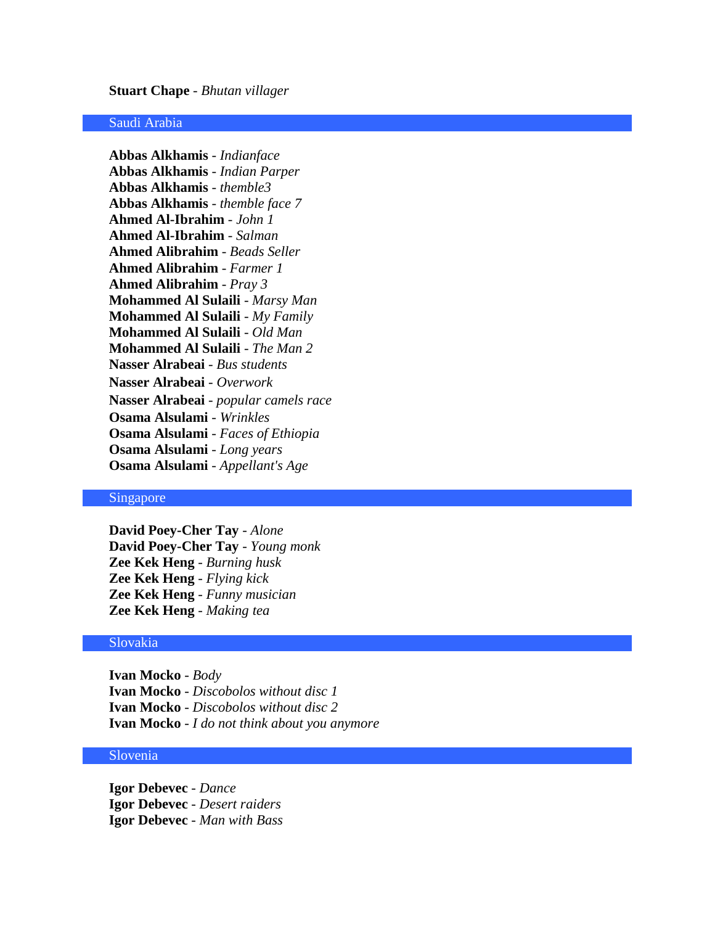#### **Stuart Chape** - *Bhutan villager*

# Saudi Arabia

**Abbas Alkhamis** - *Indianface* **Abbas Alkhamis** - *Indian Parper* **Abbas Alkhamis** - *themble3* **Abbas Alkhamis** - *themble face 7* **Ahmed Al-Ibrahim** - *John 1* **Ahmed Al-Ibrahim** - *Salman* **Ahmed Alibrahim** - *Beads Seller* **Ahmed Alibrahim** - *Farmer 1* **Ahmed Alibrahim** - *Pray 3* **Mohammed Al Sulaili** - *Marsy Man* **Mohammed Al Sulaili** - *My Family* **Mohammed Al Sulaili** - *Old Man* **Mohammed Al Sulaili** - *The Man 2* **Nasser Alrabeai** - *Bus students* **Nasser Alrabeai** - *Overwork*  **Nasser Alrabeai** - *popular camels race*  **Osama Alsulami** - *Wrinkles* **Osama Alsulami** - *Faces of Ethiopia* **Osama Alsulami** - *Long years* **Osama Alsulami** - *Appellant's Age*

#### Singapore

**David Poey-Cher Tay** - *Alone* **David Poey-Cher Tay** - *Young monk* **Zee Kek Heng** - *Burning husk* **Zee Kek Heng** - *Flying kick* **Zee Kek Heng** - *Funny musician* **Zee Kek Heng** - *Making tea*

#### Slovakia

**Ivan Mocko** - *Body* **Ivan Mocko** - *Discobolos without disc 1* **Ivan Mocko** - *Discobolos without disc 2* **Ivan Mocko** - *I do not think about you anymore*

#### Slovenia

**Igor Debevec** - *Dance* **Igor Debevec** - *Desert raiders* **Igor Debevec** - *Man with Bass*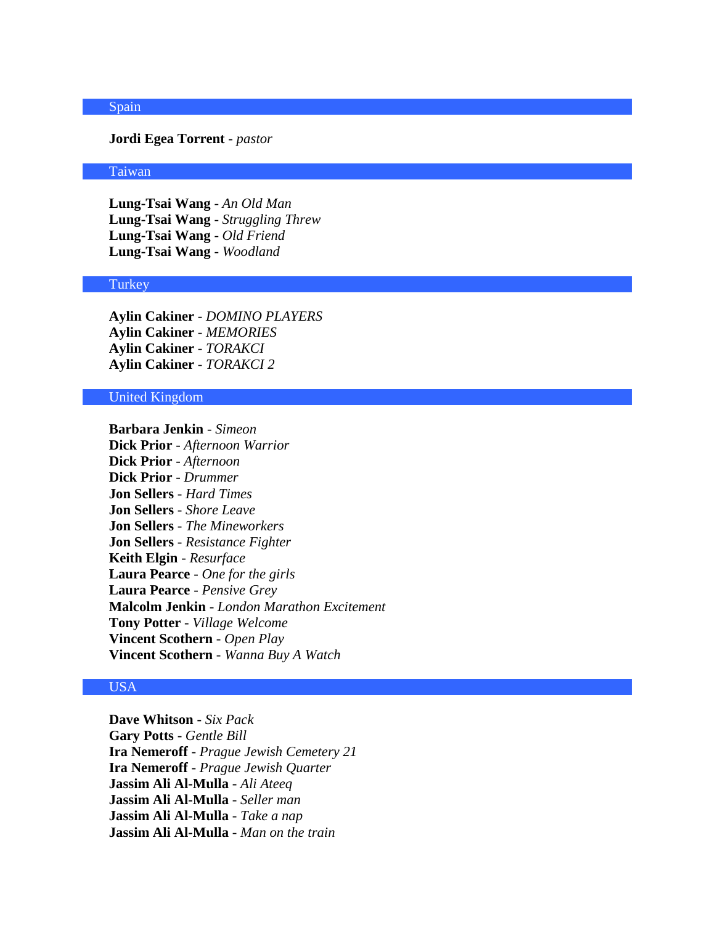#### Spain

#### **Jordi Egea Torrent** - *pastor*

#### Taiwan

**Lung-Tsai Wang** - *An Old Man* **Lung-Tsai Wang** - *Struggling Threw* **Lung-Tsai Wang** - *Old Friend* **Lung-Tsai Wang** - *Woodland*

#### Turkey

**Aylin Cakiner** - *DOMINO PLAYERS* **Aylin Cakiner** - *MEMORIES* **Aylin Cakiner** - *TORAKCI* **Aylin Cakiner** - *TORAKCI 2*

## United Kingdom

**Barbara Jenkin** - *Simeon* **Dick Prior** - *Afternoon Warrior* **Dick Prior** - *Afternoon* **Dick Prior** - *Drummer* **Jon Sellers** - *Hard Times* **Jon Sellers** - *Shore Leave* **Jon Sellers** - *The Mineworkers* **Jon Sellers** - *Resistance Fighter* **Keith Elgin** - *Resurface* **Laura Pearce** - *One for the girls* **Laura Pearce** - *Pensive Grey* **Malcolm Jenkin** - *London Marathon Excitement* **Tony Potter** - *Village Welcome* **Vincent Scothern** - *Open Play* **Vincent Scothern** - *Wanna Buy A Watch*

# USA

**Dave Whitson** - *Six Pack* **Gary Potts** - *Gentle Bill* **Ira Nemeroff** - *Prague Jewish Cemetery 21* **Ira Nemeroff** - *Prague Jewish Quarter* **Jassim Ali Al-Mulla** - *Ali Ateeq* **Jassim Ali Al-Mulla** - *Seller man* **Jassim Ali Al-Mulla** - *Take a nap* **Jassim Ali Al-Mulla** - *Man on the train*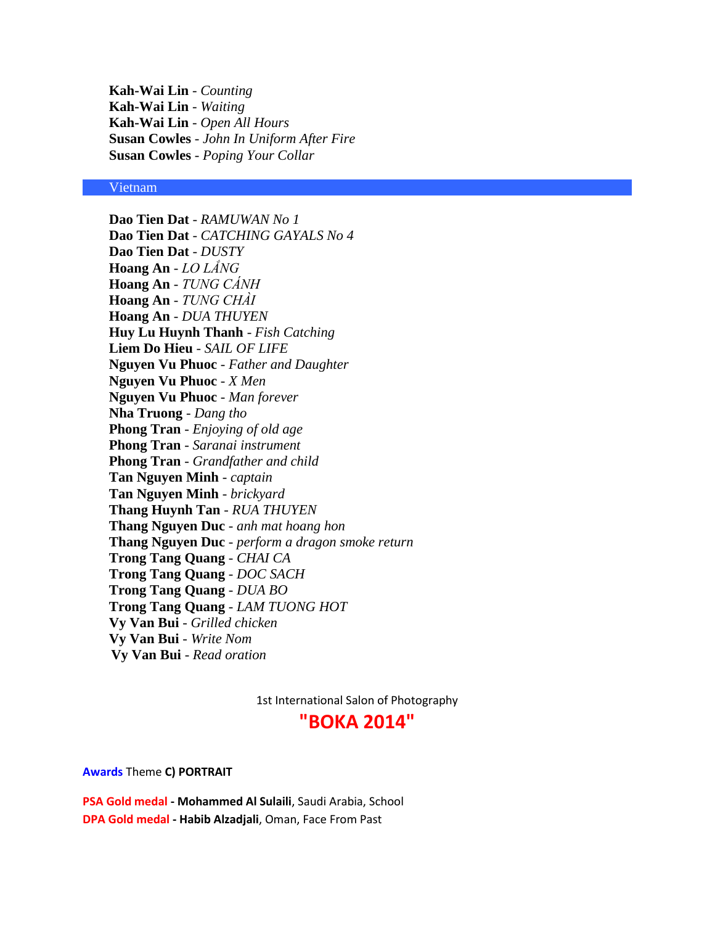**Kah-Wai Lin** - *Counting* **Kah-Wai Lin** - *Waiting* **Kah-Wai Lin** - *Open All Hours* **Susan Cowles** - *John In Uniform After Fire* **Susan Cowles** - *Poping Your Collar*

#### Vietnam

**Dao Tien Dat** - *RAMUWAN No 1* **Dao Tien Dat** - *CATCHING GAYALS No 4* **Dao Tien Dat** - *DUSTY* **Hoang An** - **Hoang An** - **Hoang An** - **Hoang An** - *DUA THUYEN* **Huy Lu Huynh Thanh** - *Fish Catching* **Liem Do Hieu** - *SAIL OF LIFE* **Nguyen Vu Phuoc** - *Father and Daughter* **Nguyen Vu Phuoc** - *X Men* **Nguyen Vu Phuoc** - *Man forever* **Nha Truong** - *Dang tho* **Phong Tran** - *Enjoying of old age* **Phong Tran** - *Saranai instrument* **Phong Tran** - *Grandfather and child* **Tan Nguyen Minh** - *captain* **Tan Nguyen Minh** - *brickyard* **Thang Huynh Tan** - *RUA THUYEN* **Thang Nguyen Duc** - *anh mat hoang hon* **Thang Nguyen Duc** - *perform a dragon smoke return* **Trong Tang Quang** - *CHAI CA* **Trong Tang Quang** - *DOC SACH* **Trong Tang Quang** - *DUA BO* **Trong Tang Quang** - *LAM TUONG HOT* **Vy Van Bui** - *Grilled chicken* **Vy Van Bui** - *Write Nom* **Vy Van Bui** - *Read oration*

1st International Salon of Photography

# **"BOKA 2014"**

**Awards** Theme **C) PORTRAIT**

**PSA Gold medal - Mohammed Al Sulaili**, Saudi Arabia, School **DPA Gold medal - Habib Alzadjali**, Oman, Face From Past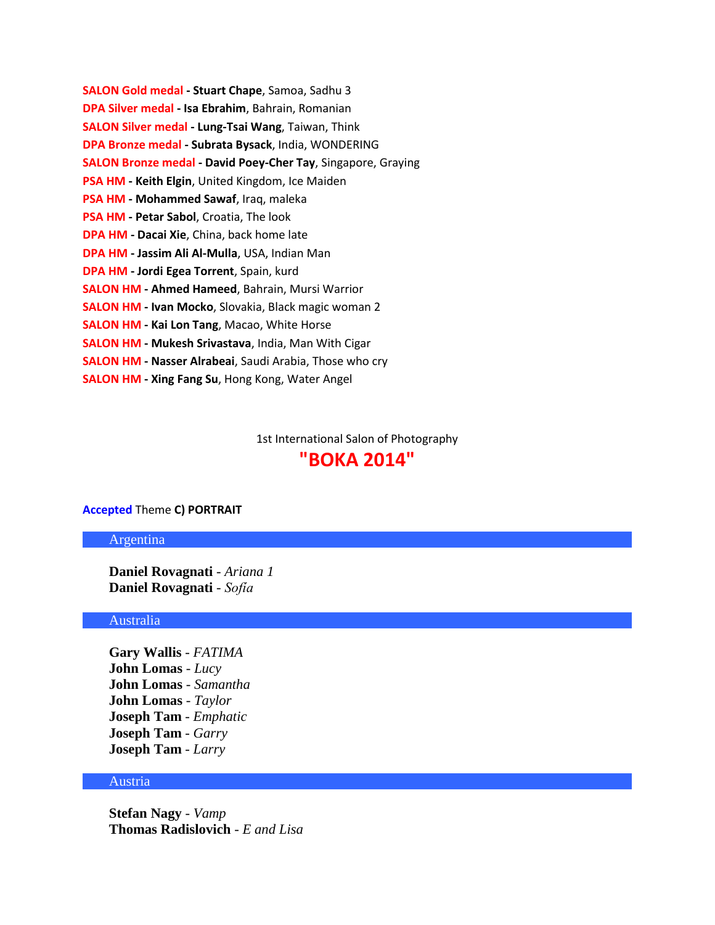| <b>SALON Gold medal - Stuart Chape, Samoa, Sadhu 3</b>              |
|---------------------------------------------------------------------|
| DPA Silver medal - Isa Ebrahim, Bahrain, Romanian                   |
| <b>SALON Silver medal - Lung-Tsai Wang, Taiwan, Think</b>           |
| DPA Bronze medal - Subrata Bysack, India, WONDERING                 |
| <b>SALON Bronze medal - David Poey-Cher Tay, Singapore, Graying</b> |
| PSA HM - Keith Elgin, United Kingdom, Ice Maiden                    |
| PSA HM - Mohammed Sawaf, Iraq, maleka                               |
| PSA HM - Petar Sabol, Croatia, The look                             |
| <b>DPA HM - Dacai Xie, China, back home late</b>                    |
| DPA HM - Jassim Ali Al-Mulla, USA, Indian Man                       |
| <b>DPA HM - Jordi Egea Torrent</b> , Spain, kurd                    |
| <b>SALON HM - Ahmed Hameed, Bahrain, Mursi Warrior</b>              |
| <b>SALON HM - Ivan Mocko, Slovakia, Black magic woman 2</b>         |
| <b>SALON HM - Kai Lon Tang, Macao, White Horse</b>                  |
| <b>SALON HM - Mukesh Srivastava, India, Man With Cigar</b>          |
| <b>SALON HM - Nasser Alrabeai</b> , Saudi Arabia, Those who cry     |
| <b>SALON HM - Xing Fang Su, Hong Kong, Water Angel</b>              |

1st International Salon of Photography

# **"BOKA 2014"**

# **Accepted** Theme **C) PORTRAIT**

# Argentina

**Daniel Rovagnati** - *Ariana 1* **Daniel Rovagnati** - *Sofía*

# Australia

**Gary Wallis** - *FATIMA* **John Lomas** - *Lucy* **John Lomas** - *Samantha* **John Lomas** - *Taylor* **Joseph Tam** - *Emphatic* **Joseph Tam** - *Garry* **Joseph Tam** - *Larry*

# Austria

**Stefan Nagy** - *Vamp* **Thomas Radislovich** - *E and Lisa*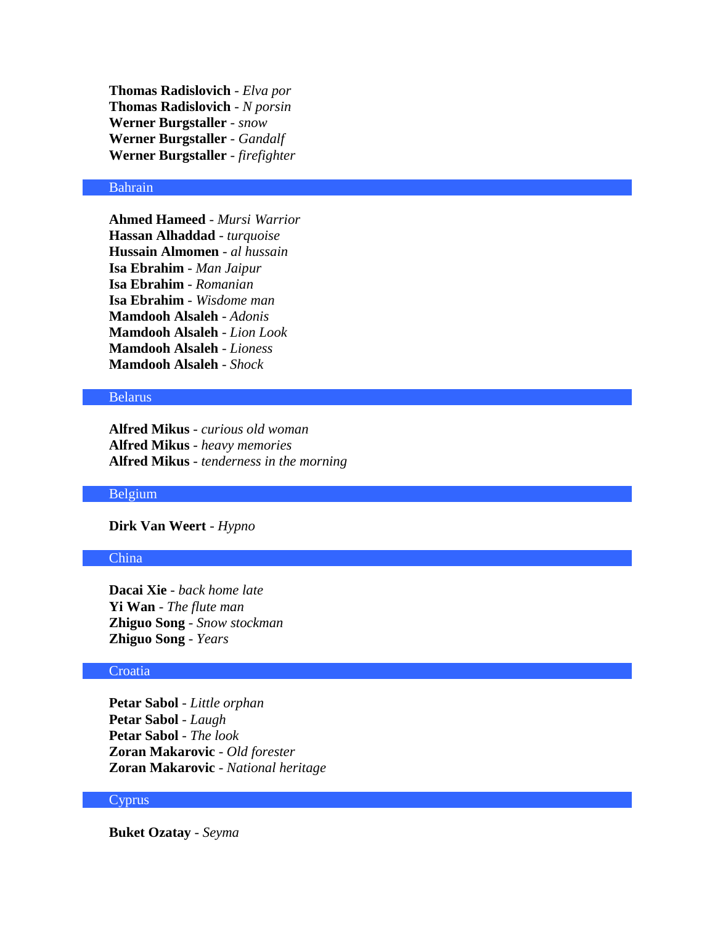**Thomas Radislovich** - *Elva por* **Thomas Radislovich** - *N porsin* **Werner Burgstaller** - *snow* **Werner Burgstaller** - *Gandalf* **Werner Burgstaller** - *firefighter*

#### Bahrain

**Ahmed Hameed** - *Mursi Warrior* **Hassan Alhaddad** - *turquoise* **Hussain Almomen** - *al hussain* **Isa Ebrahim** - *Man Jaipur* **Isa Ebrahim** - *Romanian* **Isa Ebrahim** - *Wisdome man* **Mamdooh Alsaleh** - *Adonis* **Mamdooh Alsaleh** - *Lion Look* **Mamdooh Alsaleh** - *Lioness* **Mamdooh Alsaleh** - *Shock*

## Belarus

**Alfred Mikus** - *curious old woman* **Alfred Mikus** - *heavy memories* **Alfred Mikus** - *tenderness in the morning*

# Belgium

**Dirk Van Weert** - *Hypno*

## China

**Dacai Xie** - *back home late* **Yi Wan** - *The flute man* **Zhiguo Song** - *Snow stockman* **Zhiguo Song** - *Years*

#### **Croatia**

**Petar Sabol** - *Little orphan* **Petar Sabol** - *Laugh* **Petar Sabol** - *The look* **Zoran Makarovic** - *Old forester* **Zoran Makarovic** - *National heritage*

# Cyprus

**Buket Ozatay** - *Seyma*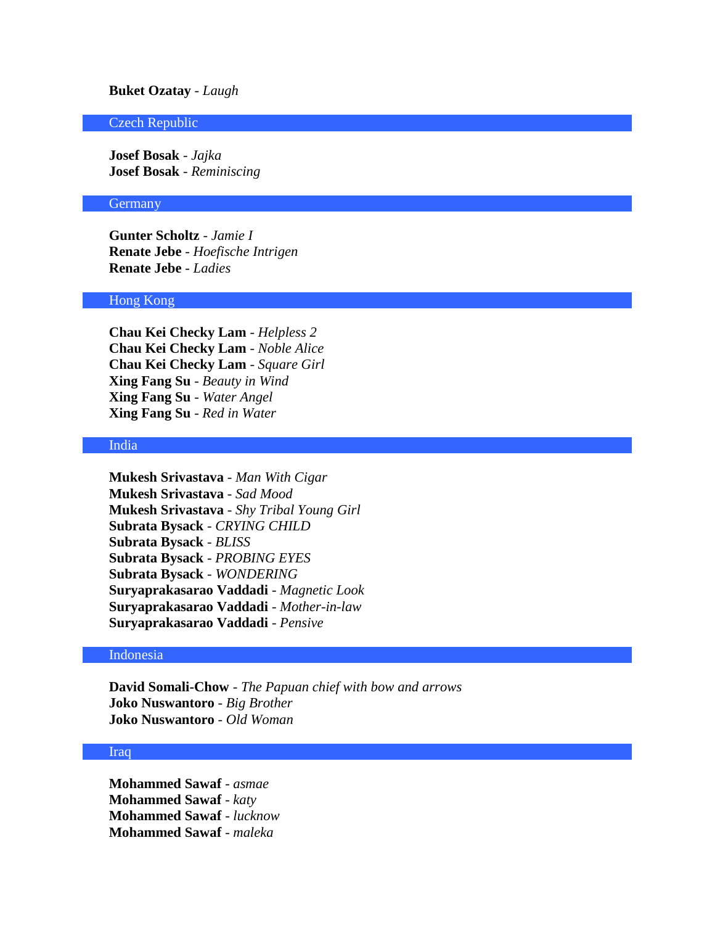# **Buket Ozatay** - *Laugh*

# Czech Republic

**Josef Bosak** - *Jajka* **Josef Bosak** - *Reminiscing*

# **Germany**

**Gunter Scholtz** - *Jamie I* **Renate Jebe** - *Hoefische Intrigen* **Renate Jebe** - *Ladies*

# Hong Kong

**Chau Kei Checky Lam** - *Helpless 2* **Chau Kei Checky Lam** - *Noble Alice* **Chau Kei Checky Lam** - *Square Girl* **Xing Fang Su** - *Beauty in Wind* **Xing Fang Su** - *Water Angel* **Xing Fang Su** - *Red in Water*

## India

**Mukesh Srivastava** - *Man With Cigar* **Mukesh Srivastava** - *Sad Mood* **Mukesh Srivastava** - *Shy Tribal Young Girl* **Subrata Bysack** - *CRYING CHILD* **Subrata Bysack** - *BLISS* **Subrata Bysack** - *PROBING EYES* **Subrata Bysack** - *WONDERING* **Suryaprakasarao Vaddadi** - *Magnetic Look* **Suryaprakasarao Vaddadi** - *Mother-in-law* **Suryaprakasarao Vaddadi** - *Pensive*

# Indonesia

**David Somali-Chow** - *The Papuan chief with bow and arrows* **Joko Nuswantoro** - *Big Brother* **Joko Nuswantoro** - *Old Woman*

# **Iraq**

**Mohammed Sawaf** - *asmae* **Mohammed Sawaf** - *katy* **Mohammed Sawaf** - *lucknow* **Mohammed Sawaf** - *maleka*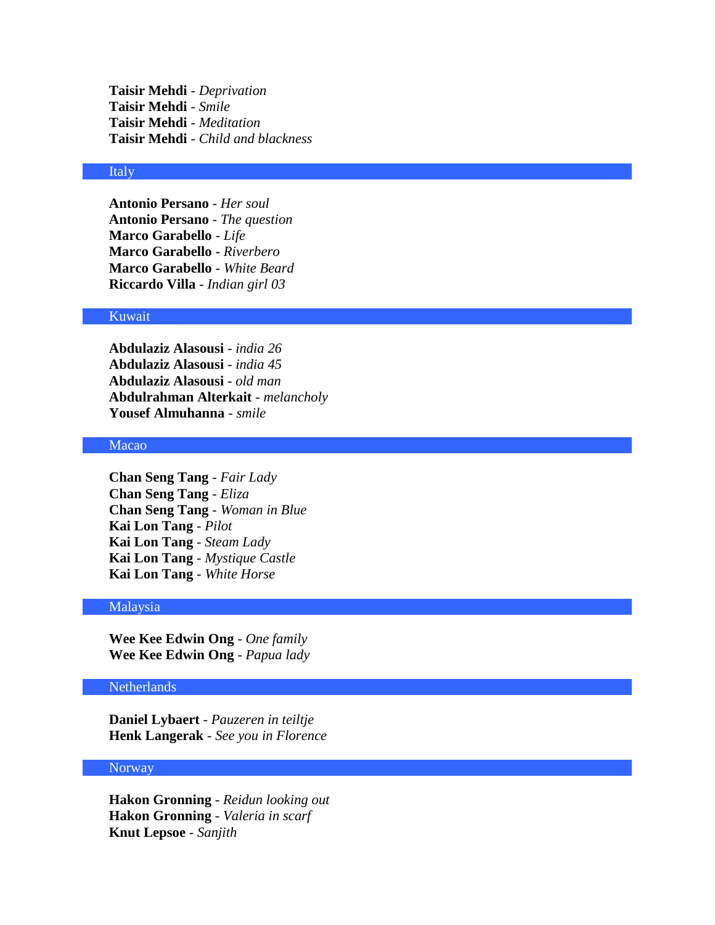**Taisir Mehdi** - *Deprivation* **Taisir Mehdi** - *Smile* **Taisir Mehdi** - *Meditation* **Taisir Mehdi** - *Child and blackness*

#### Italy

**Antonio Persano** - *Her soul* **Antonio Persano** - *The question* **Marco Garabello** - *Life* **Marco Garabello** - *Riverbero* **Marco Garabello** - *White Beard* **Riccardo Villa** - *Indian girl 03*

## Kuwait

**Abdulaziz Alasousi** - *india 26* **Abdulaziz Alasousi** - *india 45* **Abdulaziz Alasousi** - *old man* **Abdulrahman Alterkait** - *melancholy* **Yousef Almuhanna** - *smile*

# Macao

**Chan Seng Tang** - *Fair Lady* **Chan Seng Tang** - *Eliza* **Chan Seng Tang** - *Woman in Blue* **Kai Lon Tang** - *Pilot* **Kai Lon Tang** - *Steam Lady* **Kai Lon Tang** - *Mystique Castle* **Kai Lon Tang** - *White Horse*

#### Malaysia

**Wee Kee Edwin Ong** - *One family* **Wee Kee Edwin Ong** - *Papua lady*

## Netherlands

**Daniel Lybaert** - *Pauzeren in teiltje* **Henk Langerak** - *See you in Florence*

#### **Norway**

**Hakon Gronning** - *Reidun looking out* **Hakon Gronning** - *Valeria in scarf* **Knut Lepsoe** - *Sanjith*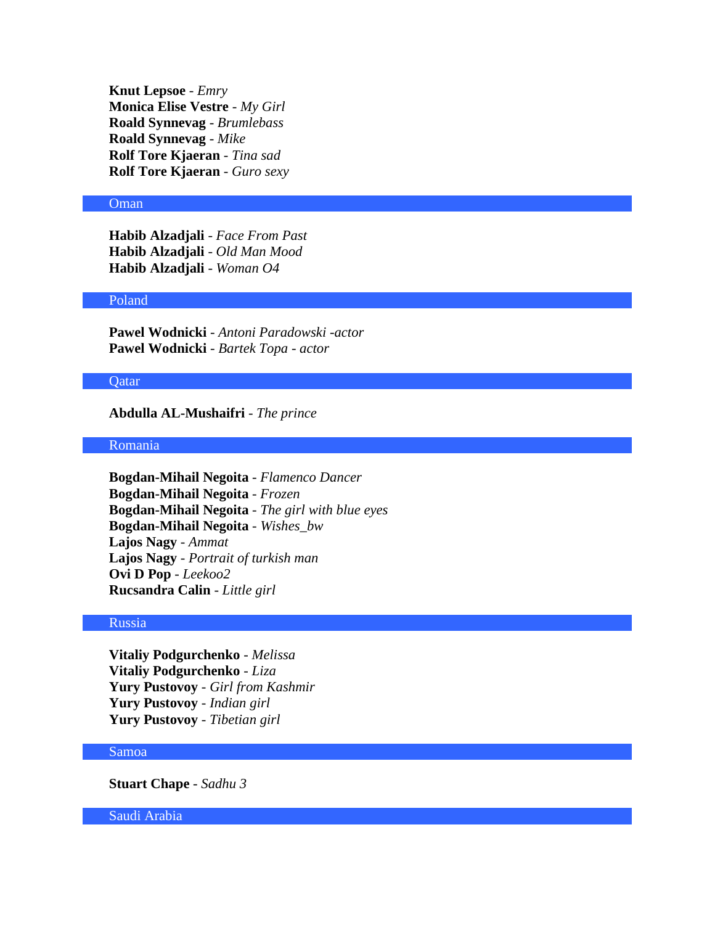**Knut Lepsoe** - *Emry* **Monica Elise Vestre** - *My Girl* **Roald Synnevag** - *Brumlebass* **Roald Synnevag** - *Mike* **Rolf Tore Kjaeran** - *Tina sad* **Rolf Tore Kjaeran** - *Guro sexy*

# **Oman**

**Habib Alzadjali** - *Face From Past* **Habib Alzadjali** - *Old Man Mood* **Habib Alzadjali** - *Woman O4*

#### Poland

**Pawel Wodnicki** - *Antoni Paradowski -actor* **Pawel Wodnicki** - *Bartek Topa - actor*

# Qatar

**Abdulla AL-Mushaifri** - *The prince*

## Romania

**Bogdan-Mihail Negoita** - *Flamenco Dancer* **Bogdan-Mihail Negoita** - *Frozen* **Bogdan-Mihail Negoita** - *The girl with blue eyes* **Bogdan-Mihail Negoita** - *Wishes\_bw* **Lajos Nagy** - *Ammat* **Lajos Nagy** - *Portrait of turkish man* **Ovi D Pop** - *Leekoo2* **Rucsandra Calin** - *Little girl*

#### Russia

**Vitaliy Podgurchenko** - *Melissa* **Vitaliy Podgurchenko** - *Liza* **Yury Pustovoy** - *Girl from Kashmir* **Yury Pustovoy** - *Indian girl* **Yury Pustovoy** - *Tibetian girl*

#### Samoa

**Stuart Chape** - *Sadhu 3*

Saudi Arabia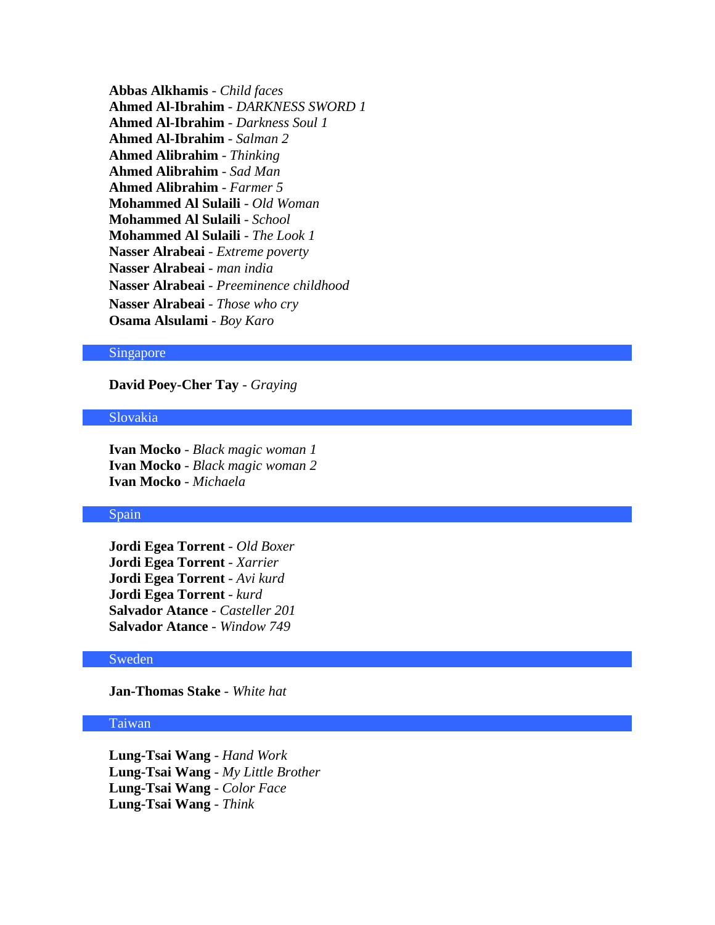**Abbas Alkhamis** - *Child faces* **Ahmed Al-Ibrahim** - *DARKNESS SWORD 1* **Ahmed Al-Ibrahim** - *Darkness Soul 1* **Ahmed Al-Ibrahim** - *Salman 2* **Ahmed Alibrahim** - *Thinking* **Ahmed Alibrahim** - *Sad Man* **Ahmed Alibrahim** - *Farmer 5* **Mohammed Al Sulaili** - *Old Woman* **Mohammed Al Sulaili** - *School* **Mohammed Al Sulaili** - *The Look 1* **Nasser Alrabeai** - *Extreme poverty* **Nasser Alrabeai** - *man india* **Nasser Alrabeai** - *Preeminence childhood*  **Nasser Alrabeai** - *Those who cry*  **Osama Alsulami** - *Boy Karo*

## Singapore

# **David Poey-Cher Tay** - *Graying*

# Slovakia

**Ivan Mocko** - *Black magic woman 1* **Ivan Mocko** - *Black magic woman 2* **Ivan Mocko** - *Michaela*

## Spain

**Jordi Egea Torrent** - *Old Boxer* **Jordi Egea Torrent** - *Xarrier* **Jordi Egea Torrent** - *Avi kurd* **Jordi Egea Torrent** - *kurd* **Salvador Atance** - *Casteller 201* **Salvador Atance** - *Window 749*

#### Sweden

**Jan-Thomas Stake** - *White hat*

#### Taiwan

**Lung-Tsai Wang** - *Hand Work* **Lung-Tsai Wang** - *My Little Brother* **Lung-Tsai Wang** - *Color Face* **Lung-Tsai Wang** - *Think*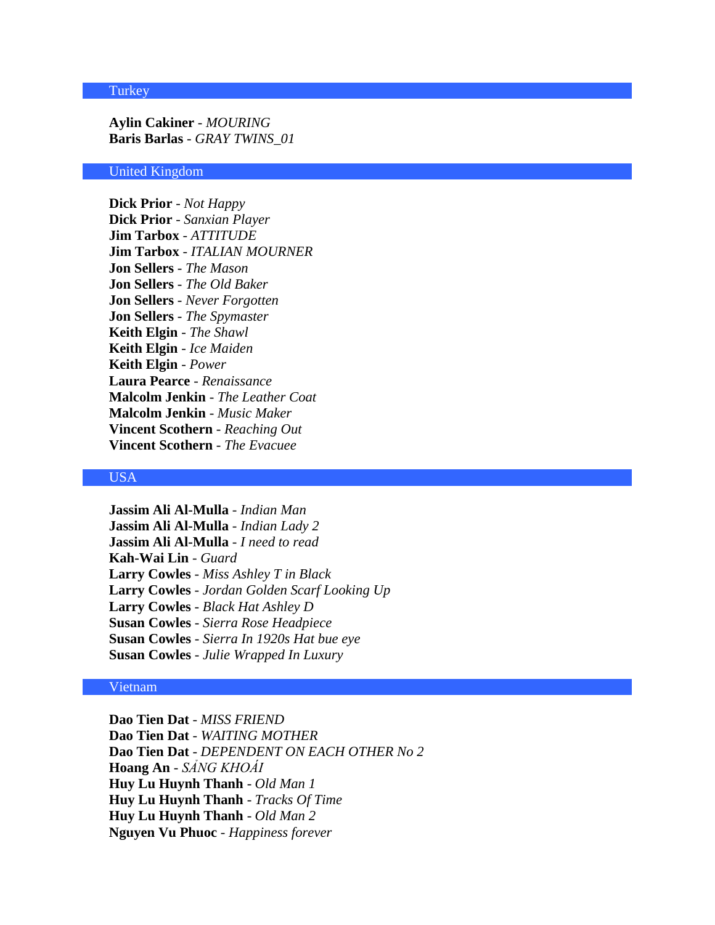# **Turkey**

**Aylin Cakiner** - *MOURING* **Baris Barlas** - *GRAY TWINS\_01*

#### United Kingdom

**Dick Prior** - *Not Happy* **Dick Prior** - *Sanxian Player* **Jim Tarbox** - *ATTITUDE* **Jim Tarbox** - *ITALIAN MOURNER* **Jon Sellers** - *The Mason* **Jon Sellers** - *The Old Baker* **Jon Sellers** - *Never Forgotten* **Jon Sellers** - *The Spymaster* **Keith Elgin** - *The Shawl* **Keith Elgin** - *Ice Maiden* **Keith Elgin** - *Power* **Laura Pearce** - *Renaissance* **Malcolm Jenkin** - *The Leather Coat* **Malcolm Jenkin** - *Music Maker* **Vincent Scothern** - *Reaching Out* **Vincent Scothern** - *The Evacuee*

## USA

**Jassim Ali Al-Mulla** - *Indian Man* **Jassim Ali Al-Mulla** - *Indian Lady 2* **Jassim Ali Al-Mulla** - *I need to read* **Kah-Wai Lin** - *Guard* **Larry Cowles** - *Miss Ashley T in Black* **Larry Cowles** - *Jordan Golden Scarf Looking Up* **Larry Cowles** - *Black Hat Ashley D* **Susan Cowles** - *Sierra Rose Headpiece* **Susan Cowles** - *Sierra In 1920s Hat bue eye* **Susan Cowles** - *Julie Wrapped In Luxury*

## Vietnam

**Dao Tien Dat** - *MISS FRIEND* **Dao Tien Dat** - *WAITING MOTHER* **Dao Tien Dat** - *DEPENDENT ON EACH OTHER No 2* **Hoang An** - *SANG KHOAI* **Huy Lu Huynh Thanh** - *Old Man 1* **Huy Lu Huynh Thanh** - *Tracks Of Time* **Huy Lu Huynh Thanh** - *Old Man 2* **Nguyen Vu Phuoc** - *Happiness forever*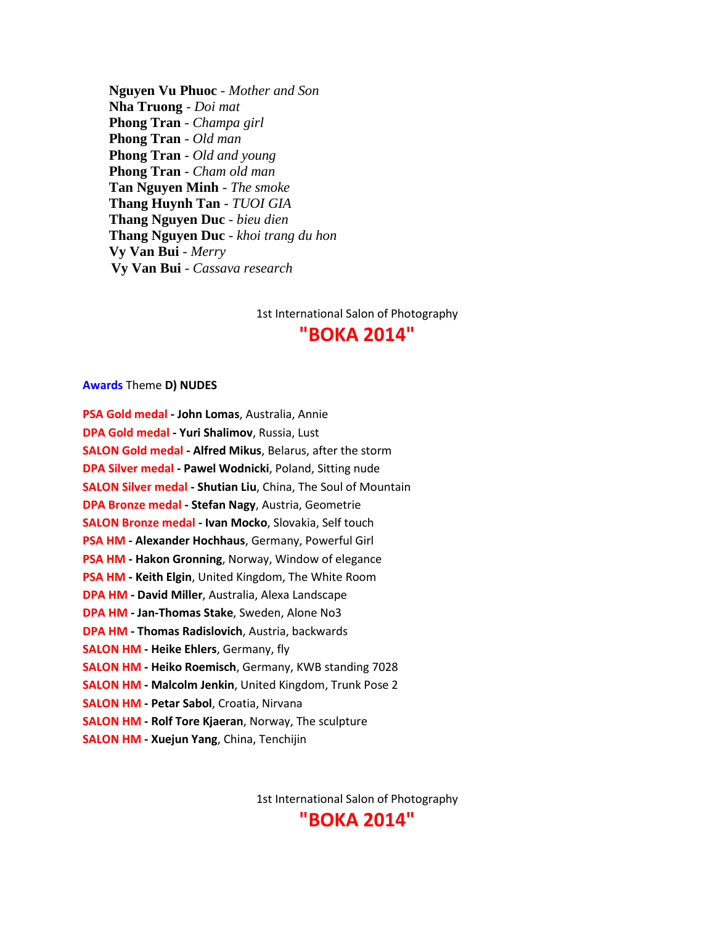**Nguyen Vu Phuoc** - *Mother and Son* **Nha Truong** - *Doi mat* **Phong Tran** - *Champa girl* **Phong Tran** - *Old man* **Phong Tran** - *Old and young* **Phong Tran** - *Cham old man* **Tan Nguyen Minh** - *The smoke* **Thang Huynh Tan** - *TUOI GIA* **Thang Nguyen Duc** - *bieu dien* **Thang Nguyen Duc** - *khoi trang du hon* **Vy Van Bui** - *Merry* **Vy Van Bui** - *Cassava research*

1st International Salon of Photography

# **"BOKA 2014"**

## **Awards** Theme **D) NUDES**

| PSA Gold medal - John Lomas, Australia, Annie                        |
|----------------------------------------------------------------------|
| DPA Gold medal - Yuri Shalimov, Russia, Lust                         |
| <b>SALON Gold medal - Alfred Mikus, Belarus, after the storm</b>     |
| <b>DPA Silver medal - Pawel Wodnicki</b> , Poland, Sitting nude      |
| <b>SALON Silver medal - Shutian Liu, China, The Soul of Mountain</b> |
| DPA Bronze medal - Stefan Nagy, Austria, Geometrie                   |
| <b>SALON Bronze medal - Ivan Mocko, Slovakia, Self touch</b>         |
| PSA HM - Alexander Hochhaus, Germany, Powerful Girl                  |
| <b>PSA HM - Hakon Gronning, Norway, Window of elegance</b>           |
| <b>PSA HM - Keith Elgin, United Kingdom, The White Room</b>          |
| <b>DPA HM - David Miller, Australia, Alexa Landscape</b>             |
| <b>DPA HM - Jan-Thomas Stake, Sweden, Alone No3</b>                  |
| DPA HM - Thomas Radislovich, Austria, backwards                      |
| <b>SALON HM - Heike Ehlers, Germany, fly</b>                         |
| <b>SALON HM - Heiko Roemisch, Germany, KWB standing 7028</b>         |
| <b>SALON HM - Malcolm Jenkin, United Kingdom, Trunk Pose 2</b>       |
| <b>SALON HM - Petar Sabol, Croatia, Nirvana</b>                      |
| <b>SALON HM - Rolf Tore Kjaeran, Norway, The sculpture</b>           |
| <b>SALON HM - Xuejun Yang, China, Tenchijin</b>                      |

1st International Salon of Photography

**"BOKA 2014"**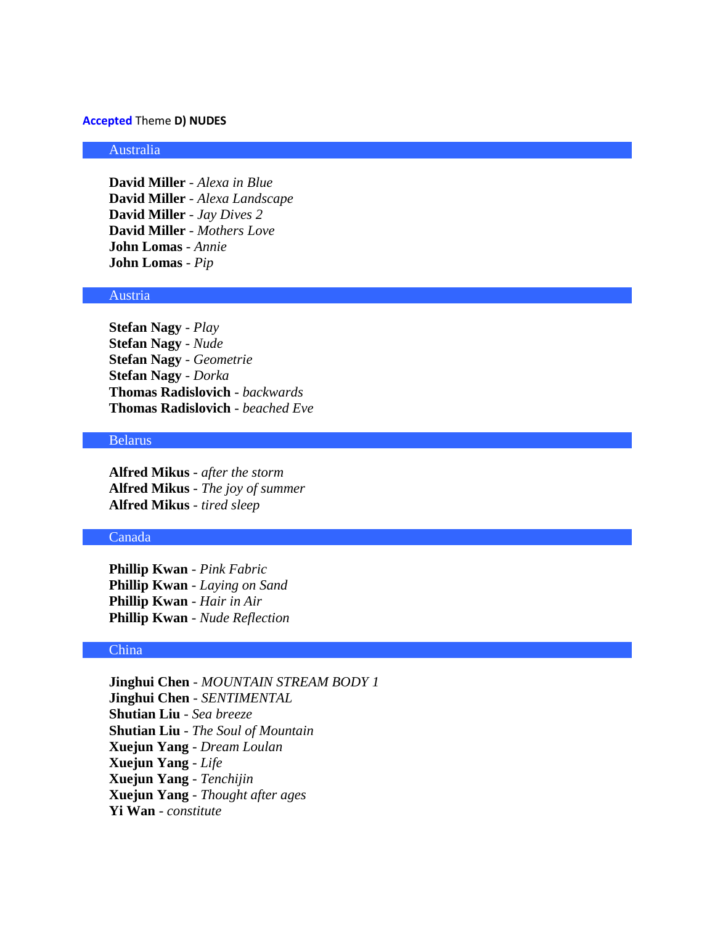#### **Accepted** Theme **D) NUDES**

#### Australia

**David Miller** - *Alexa in Blue* **David Miller** - *Alexa Landscape* **David Miller** - *Jay Dives 2* **David Miller** - *Mothers Love* **John Lomas** - *Annie* **John Lomas** - *Pip*

#### Austria

**Stefan Nagy** - *Play* **Stefan Nagy** - *Nude* **Stefan Nagy** - *Geometrie* **Stefan Nagy** - *Dorka* **Thomas Radislovich** - *backwards* **Thomas Radislovich** - *beached Eve*

#### Belarus

**Alfred Mikus** - *after the storm* **Alfred Mikus** - *The joy of summer* **Alfred Mikus** - *tired sleep*

#### Canada

**Phillip Kwan** - *Pink Fabric* **Phillip Kwan** - *Laying on Sand* **Phillip Kwan** - *Hair in Air* **Phillip Kwan** - *Nude Reflection*

#### China

**Jinghui Chen** - *MOUNTAIN STREAM BODY 1* **Jinghui Chen** - *SENTIMENTAL* **Shutian Liu** - *Sea breeze* **Shutian Liu** - *The Soul of Mountain* **Xuejun Yang** - *Dream Loulan* **Xuejun Yang** - *Life* **Xuejun Yang** - *Tenchijin* **Xuejun Yang** - *Thought after ages* **Yi Wan** - *constitute*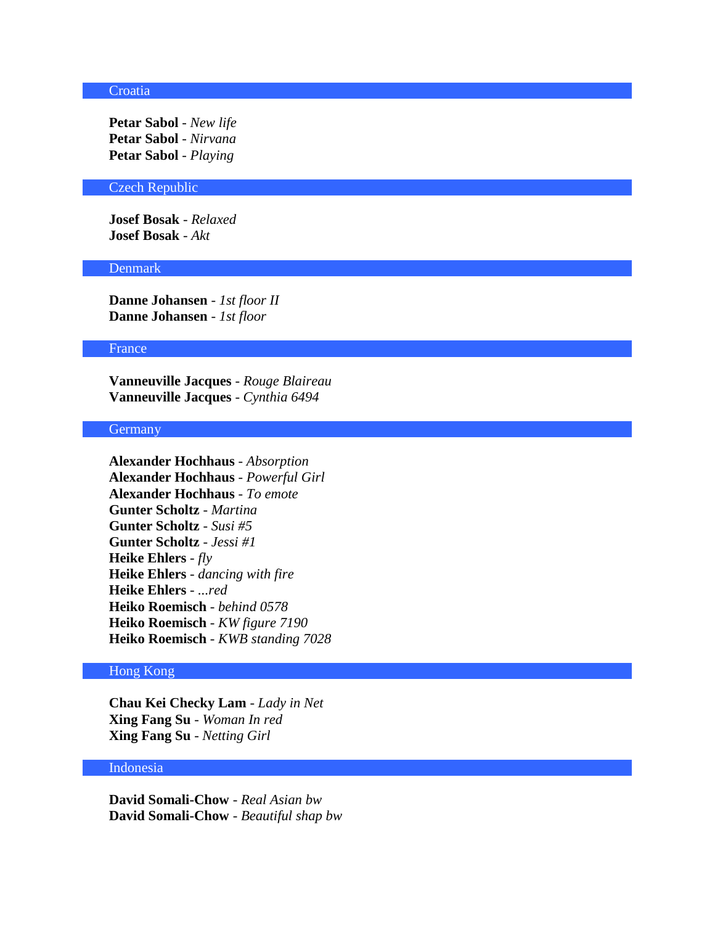# **Croatia**

**Petar Sabol** - *New life* **Petar Sabol** - *Nirvana* **Petar Sabol** - *Playing*

#### Czech Republic

**Josef Bosak** - *Relaxed* **Josef Bosak** - *Akt*

#### Denmark

**Danne Johansen** - *1st floor II* **Danne Johansen** - *1st floor*

#### France

**Vanneuville Jacques** - *Rouge Blaireau* **Vanneuville Jacques** - *Cynthia 6494*

# **Germany**

**Alexander Hochhaus** - *Absorption* **Alexander Hochhaus** - *Powerful Girl* **Alexander Hochhaus** - *To emote* **Gunter Scholtz** - *Martina* **Gunter Scholtz** - *Susi #5* **Gunter Scholtz** - *Jessi #1* **Heike Ehlers** - *fly* **Heike Ehlers** - *dancing with fire* **Heike Ehlers** - *...red* **Heiko Roemisch** - *behind 0578* **Heiko Roemisch** - *KW figure 7190* **Heiko Roemisch** - *KWB standing 7028*

# Hong Kong

**Chau Kei Checky Lam** - *Lady in Net* **Xing Fang Su** - *Woman In red* **Xing Fang Su** - *Netting Girl*

#### Indonesia

**David Somali-Chow** - *Real Asian bw* **David Somali-Chow** - *Beautiful shap bw*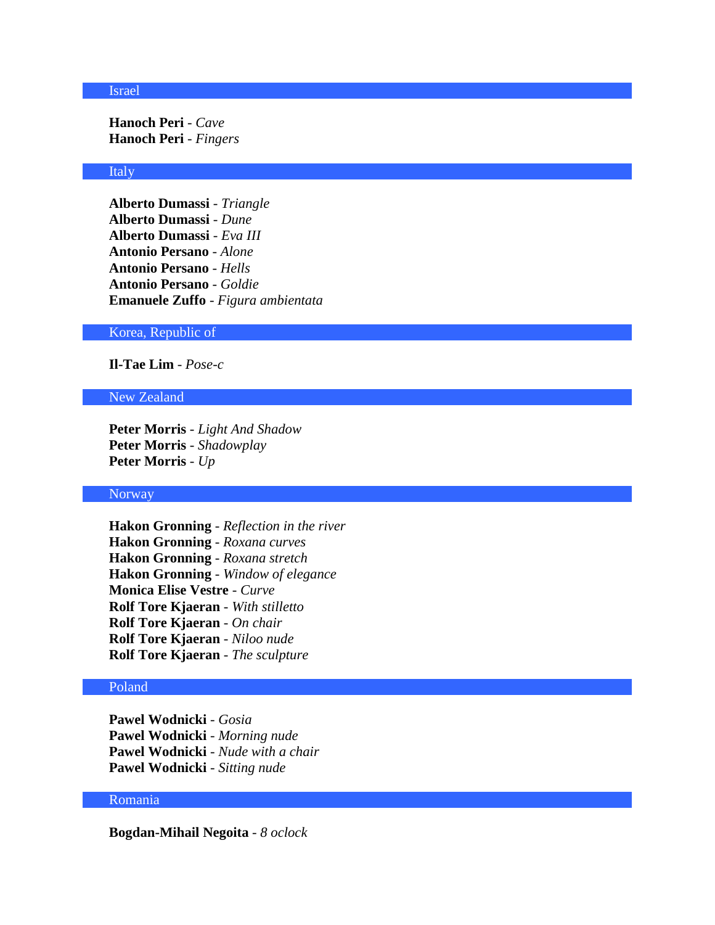# Israel

**Hanoch Peri** - *Cave* **Hanoch Peri** - *Fingers*

#### Italy

**Alberto Dumassi** - *Triangle* **Alberto Dumassi** - *Dune* **Alberto Dumassi** - *Eva III* **Antonio Persano** - *Alone* **Antonio Persano** - *Hells* **Antonio Persano** - *Goldie* **Emanuele Zuffo** - *Figura ambientata*

### Korea, Republic of

# **Il-Tae Lim** - *Pose-c*

#### New Zealand

**Peter Morris** - *Light And Shadow* **Peter Morris** - *Shadowplay* **Peter Morris** - *Up*

# Norway

**Hakon Gronning** - *Reflection in the river* **Hakon Gronning** - *Roxana curves* **Hakon Gronning** - *Roxana stretch* **Hakon Gronning** - *Window of elegance* **Monica Elise Vestre** - *Curve* **Rolf Tore Kjaeran** - *With stilletto* **Rolf Tore Kjaeran** - *On chair* **Rolf Tore Kjaeran** - *Niloo nude* **Rolf Tore Kjaeran** - *The sculpture*

## Poland

**Pawel Wodnicki** - *Gosia* **Pawel Wodnicki** - *Morning nude* **Pawel Wodnicki** - *Nude with a chair* **Pawel Wodnicki** - *Sitting nude*

#### Romania

**Bogdan-Mihail Negoita** - *8 oclock*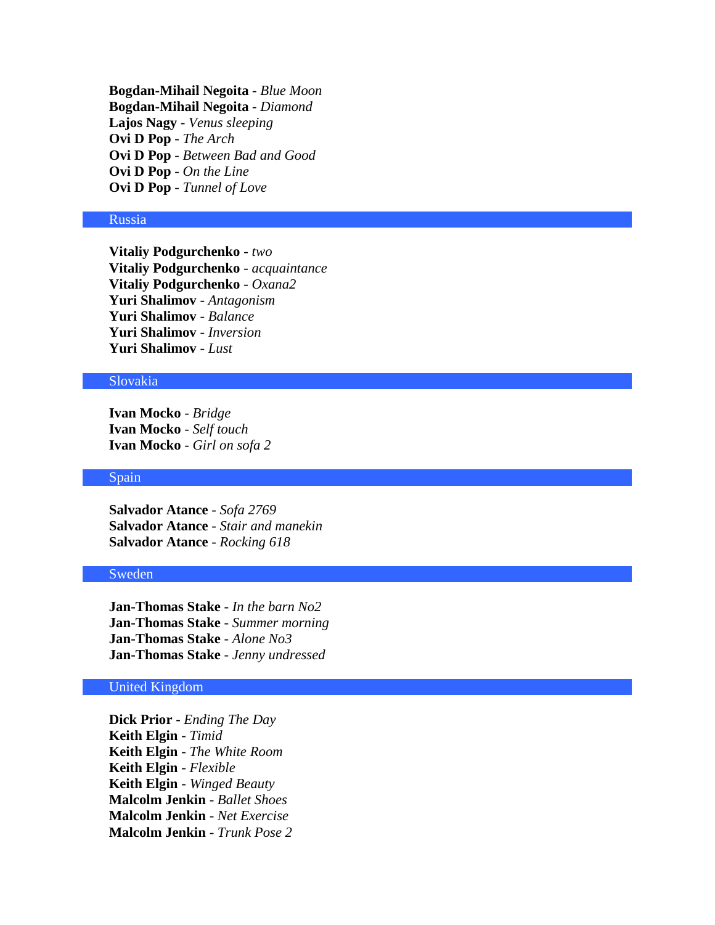**Bogdan-Mihail Negoita** - *Blue Moon* **Bogdan-Mihail Negoita** - *Diamond* **Lajos Nagy** - *Venus sleeping* **Ovi D Pop** - *The Arch* **Ovi D Pop** - *Between Bad and Good* **Ovi D Pop** - *On the Line* **Ovi D Pop** - *Tunnel of Love*

#### Russia

**Vitaliy Podgurchenko** - *two* **Vitaliy Podgurchenko** - *acquaintance* **Vitaliy Podgurchenko** - *Oxana2* **Yuri Shalimov** - *Antagonism* **Yuri Shalimov** - *Balance* **Yuri Shalimov** - *Inversion* **Yuri Shalimov** - *Lust*

# Slovakia

**Ivan Mocko** - *Bridge* **Ivan Mocko** - *Self touch* **Ivan Mocko** - *Girl on sofa 2*

#### Spain

**Salvador Atance** - *Sofa 2769* **Salvador Atance** - *Stair and manekin* **Salvador Atance** - *Rocking 618*

# Sweden

**Jan-Thomas Stake** - *In the barn No2* **Jan-Thomas Stake** - *Summer morning* **Jan-Thomas Stake** - *Alone No3* **Jan-Thomas Stake** - *Jenny undressed*

# United Kingdom

**Dick Prior** - *Ending The Day* **Keith Elgin** - *Timid* **Keith Elgin** - *The White Room* **Keith Elgin** - *Flexible* **Keith Elgin** - *Winged Beauty* **Malcolm Jenkin** - *Ballet Shoes* **Malcolm Jenkin** - *Net Exercise* **Malcolm Jenkin** - *Trunk Pose 2*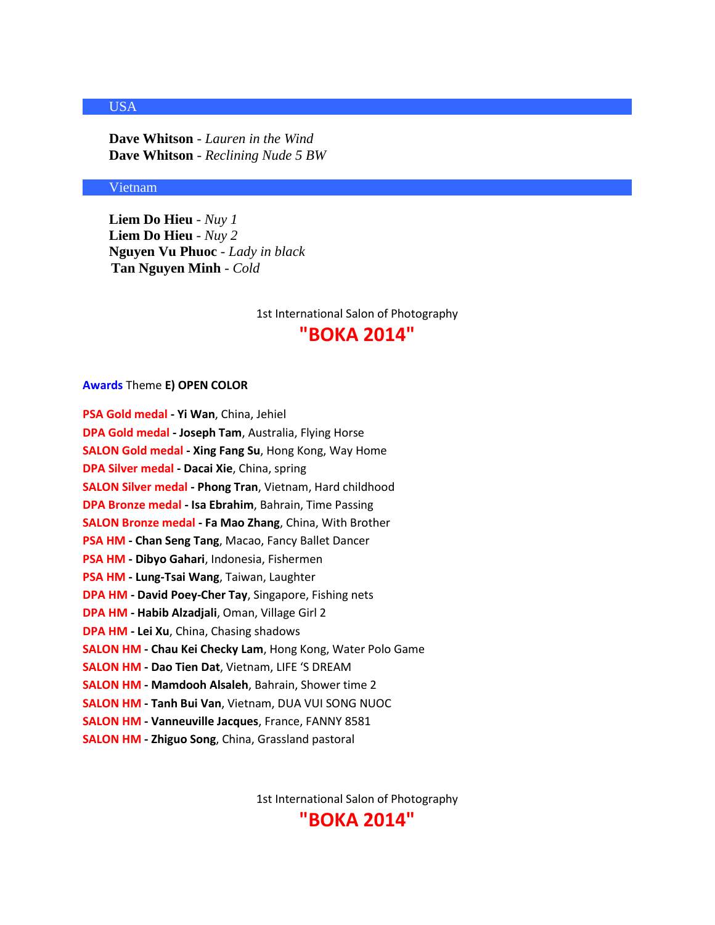# USA

**Dave Whitson** - *Lauren in the Wind* **Dave Whitson** - *Reclining Nude 5 BW*

# Vietnam

**Liem Do Hieu** - *Nuy 1* **Liem Do Hieu** - *Nuy 2* **Nguyen Vu Phuoc** - *Lady in black* **Tan Nguyen Minh** - *Cold*

1st International Salon of Photography

# **"BOKA 2014"**

## **Awards** Theme **E) OPEN COLOR**

| PSA Gold medal - Yi Wan, China, Jehiel                            |
|-------------------------------------------------------------------|
| <b>DPA Gold medal - Joseph Tam, Australia, Flying Horse</b>       |
| <b>SALON Gold medal - Xing Fang Su, Hong Kong, Way Home</b>       |
| <b>DPA Silver medal - Dacai Xie, China, spring</b>                |
| <b>SALON Silver medal - Phong Tran, Vietnam, Hard childhood</b>   |
| DPA Bronze medal - Isa Ebrahim, Bahrain, Time Passing             |
| SALON Bronze medal - Fa Mao Zhang, China, With Brother            |
| PSA HM - Chan Seng Tang, Macao, Fancy Ballet Dancer               |
| PSA HM - Dibyo Gahari, Indonesia, Fishermen                       |
| PSA HM - Lung-Tsai Wang, Taiwan, Laughter                         |
| <b>DPA HM - David Poey-Cher Tay, Singapore, Fishing nets</b>      |
| DPA HM - Habib Alzadjali, Oman, Village Girl 2                    |
| DPA HM - Lei Xu, China, Chasing shadows                           |
| <b>SALON HM - Chau Kei Checky Lam, Hong Kong, Water Polo Game</b> |
| <b>SALON HM - Dao Tien Dat, Vietnam, LIFE 'S DREAM</b>            |
| <b>SALON HM - Mamdooh Alsaleh, Bahrain, Shower time 2</b>         |
| <b>SALON HM - Tanh Bui Van, Vietnam, DUA VUI SONG NUOC</b>        |
| <b>SALON HM - Vanneuville Jacques, France, FANNY 8581</b>         |
| <b>SALON HM - Zhiguo Song</b> , China, Grassland pastoral         |

1st International Salon of Photography

**"BOKA 2014"**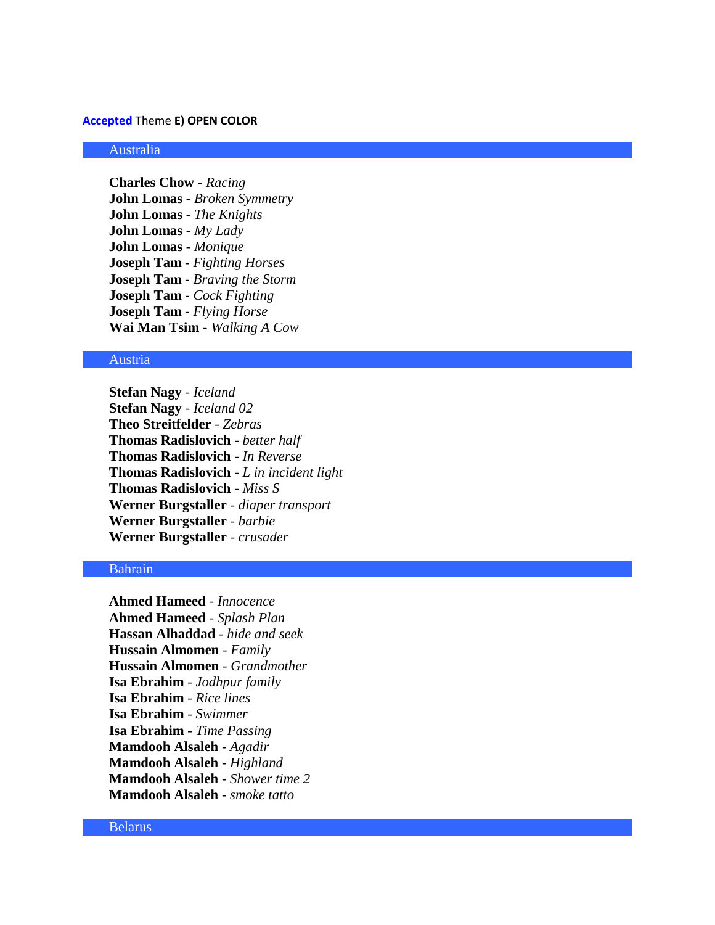#### **Accepted** Theme **E) OPEN COLOR**

#### Australia

**Charles Chow** - *Racing* **John Lomas** - *Broken Symmetry* **John Lomas** - *The Knights* **John Lomas** - *My Lady* **John Lomas** - *Monique* **Joseph Tam** - *Fighting Horses* **Joseph Tam** - *Braving the Storm* **Joseph Tam** - *Cock Fighting* **Joseph Tam** - *Flying Horse* **Wai Man Tsim** - *Walking A Cow*

# Austria

**Stefan Nagy** - *Iceland* **Stefan Nagy** - *Iceland 02* **Theo Streitfelder** - *Zebras* **Thomas Radislovich** - *better half* **Thomas Radislovich** - *In Reverse* **Thomas Radislovich** - *L in incident light* **Thomas Radislovich** - *Miss S* **Werner Burgstaller** - *diaper transport* **Werner Burgstaller** - *barbie* **Werner Burgstaller** - *crusader*

# Bahrain

**Ahmed Hameed** - *Innocence* **Ahmed Hameed** - *Splash Plan* **Hassan Alhaddad** - *hide and seek* **Hussain Almomen** - *Family* **Hussain Almomen** - *Grandmother* **Isa Ebrahim** - *Jodhpur family* **Isa Ebrahim** - *Rice lines* **Isa Ebrahim** - *Swimmer* **Isa Ebrahim** - *Time Passing* **Mamdooh Alsaleh** - *Agadir* **Mamdooh Alsaleh** - *Highland* **Mamdooh Alsaleh** - *Shower time 2* **Mamdooh Alsaleh** - *smoke tatto*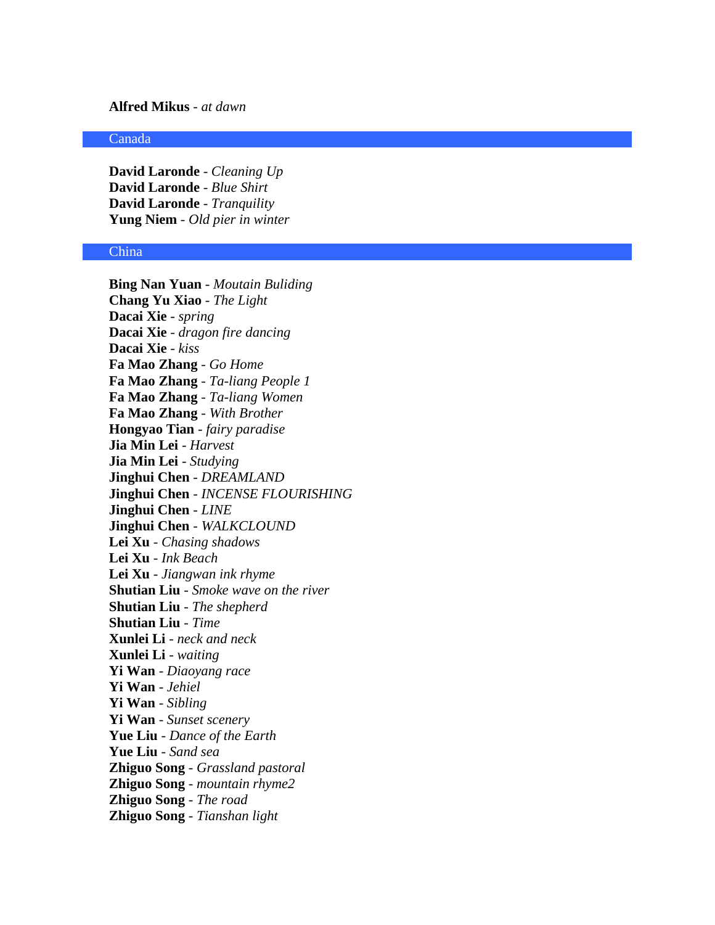## **Alfred Mikus** - *at dawn*

#### Canada

**David Laronde** - *Cleaning Up* **David Laronde** - *Blue Shirt* **David Laronde** - *Tranquility* **Yung Niem** - *Old pier in winter*

#### China

**Bing Nan Yuan** - *Moutain Buliding* **Chang Yu Xiao** - *The Light* **Dacai Xie** - *spring* **Dacai Xie** - *dragon fire dancing* **Dacai Xie** - *kiss* **Fa Mao Zhang** - *Go Home* **Fa Mao Zhang** - *Ta-liang People 1* **Fa Mao Zhang** - *Ta-liang Women* **Fa Mao Zhang** - *With Brother* **Hongyao Tian** - *fairy paradise* **Jia Min Lei** - *Harvest* **Jia Min Lei** - *Studying* **Jinghui Chen** - *DREAMLAND* **Jinghui Chen** - *INCENSE FLOURISHING* **Jinghui Chen** - *LINE* **Jinghui Chen** - *WALKCLOUND* **Lei Xu** - *Chasing shadows* **Lei Xu** - *Ink Beach* **Lei Xu** - *Jiangwan ink rhyme* **Shutian Liu** - *Smoke wave on the river* **Shutian Liu** - *The shepherd* **Shutian Liu** - *Time* **Xunlei Li** - *neck and neck* **Xunlei Li** - *waiting* **Yi Wan** - *Diaoyang race* **Yi Wan** - *Jehiel* **Yi Wan** - *Sibling* **Yi Wan** - *Sunset scenery* **Yue Liu** - *Dance of the Earth* **Yue Liu** - *Sand sea* **Zhiguo Song** - *Grassland pastoral* **Zhiguo Song** - *mountain rhyme2* **Zhiguo Song** - *The road* **Zhiguo Song** - *Tianshan light*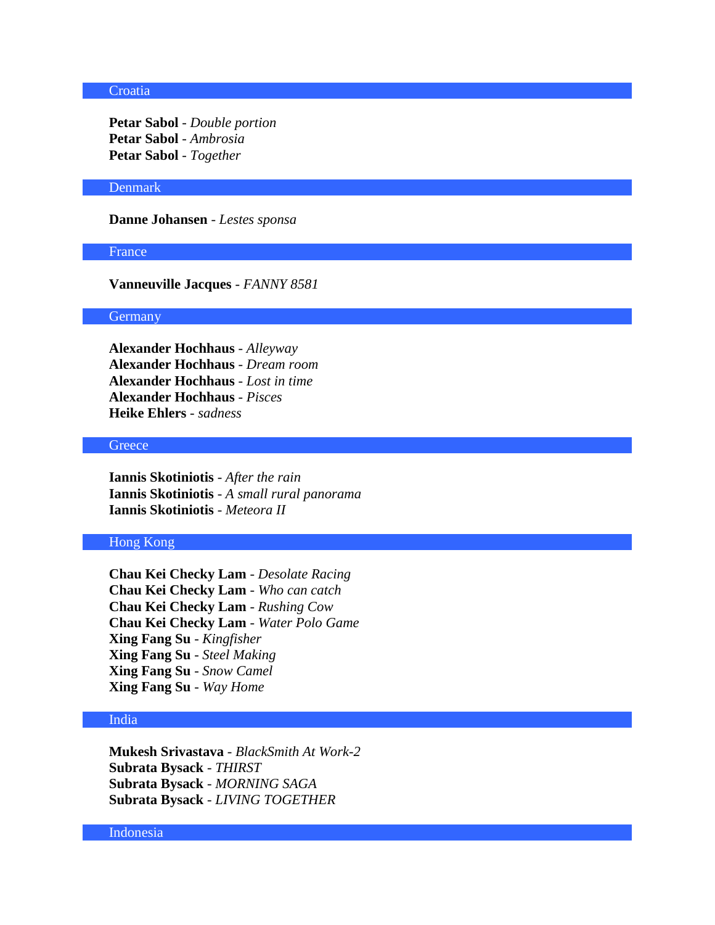# **Croatia**

**Petar Sabol** - *Double portion* **Petar Sabol** - *Ambrosia* **Petar Sabol** - *Together*

#### Denmark

**Danne Johansen** - *Lestes sponsa*

#### France

**Vanneuville Jacques** - *FANNY 8581*

## **Germany**

**Alexander Hochhaus** - *Alleyway* **Alexander Hochhaus** - *Dream room* **Alexander Hochhaus** - *Lost in time* **Alexander Hochhaus** - *Pisces* **Heike Ehlers** - *sadness*

## **Greece**

**Iannis Skotiniotis** - *After the rain* **Iannis Skotiniotis** - *A small rural panorama* **Iannis Skotiniotis** - *Meteora II*

# Hong Kong

**Chau Kei Checky Lam** - *Desolate Racing* **Chau Kei Checky Lam** - *Who can catch* **Chau Kei Checky Lam** - *Rushing Cow* **Chau Kei Checky Lam** - *Water Polo Game* **Xing Fang Su** - *Kingfisher* **Xing Fang Su** - *Steel Making* **Xing Fang Su** - *Snow Camel* **Xing Fang Su** - *Way Home*

# India

**Mukesh Srivastava** - *BlackSmith At Work-2* **Subrata Bysack** - *THIRST* **Subrata Bysack** - *MORNING SAGA* **Subrata Bysack** - *LIVING TOGETHER*

Indonesia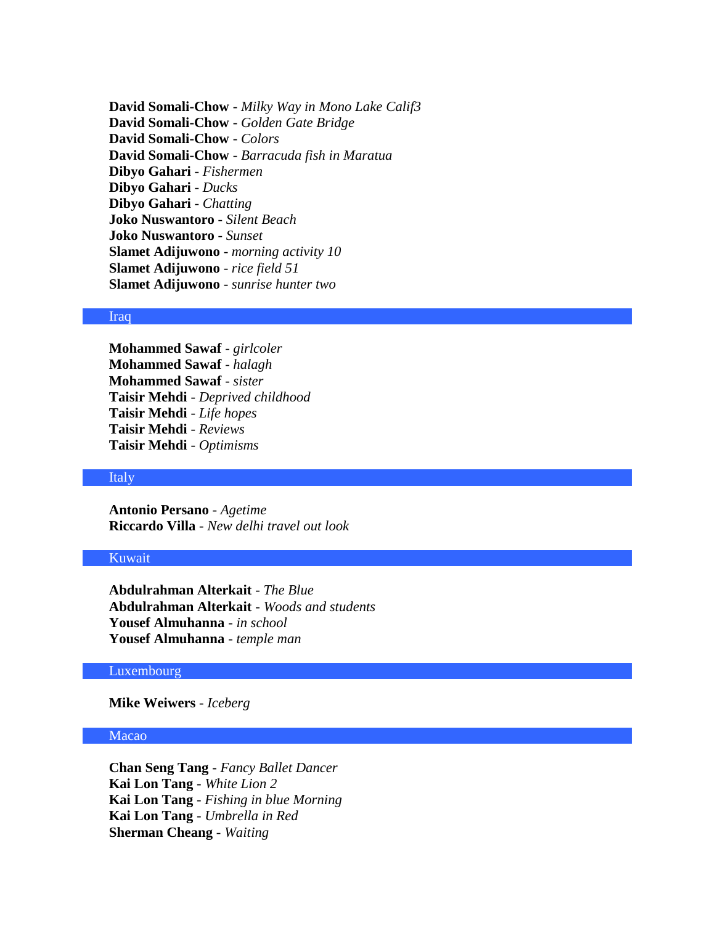**David Somali-Chow** - *Milky Way in Mono Lake Calif3* **David Somali-Chow** - *Golden Gate Bridge* **David Somali-Chow** - *Colors* **David Somali-Chow** - *Barracuda fish in Maratua* **Dibyo Gahari** - *Fishermen* **Dibyo Gahari** - *Ducks* **Dibyo Gahari** - *Chatting* **Joko Nuswantoro** - *Silent Beach* **Joko Nuswantoro** - *Sunset* **Slamet Adijuwono** - *morning activity 10* **Slamet Adijuwono** - *rice field 51* **Slamet Adijuwono** - *sunrise hunter two*

#### Iraq

**Mohammed Sawaf** - *girlcoler* **Mohammed Sawaf** - *halagh* **Mohammed Sawaf** - *sister* **Taisir Mehdi** - *Deprived childhood* **Taisir Mehdi** - *Life hopes* **Taisir Mehdi** - *Reviews* **Taisir Mehdi** - *Optimisms*

#### Italy

**Antonio Persano** - *Agetime* **Riccardo Villa** - *New delhi travel out look*

#### Kuwait

**Abdulrahman Alterkait** - *The Blue* **Abdulrahman Alterkait** - *Woods and students* **Yousef Almuhanna** - *in school* **Yousef Almuhanna** - *temple man*

#### Luxembourg

**Mike Weiwers** - *Iceberg*

## Macao

**Chan Seng Tang** - *Fancy Ballet Dancer* **Kai Lon Tang** - *White Lion 2* **Kai Lon Tang** - *Fishing in blue Morning* **Kai Lon Tang** - *Umbrella in Red* **Sherman Cheang** - *Waiting*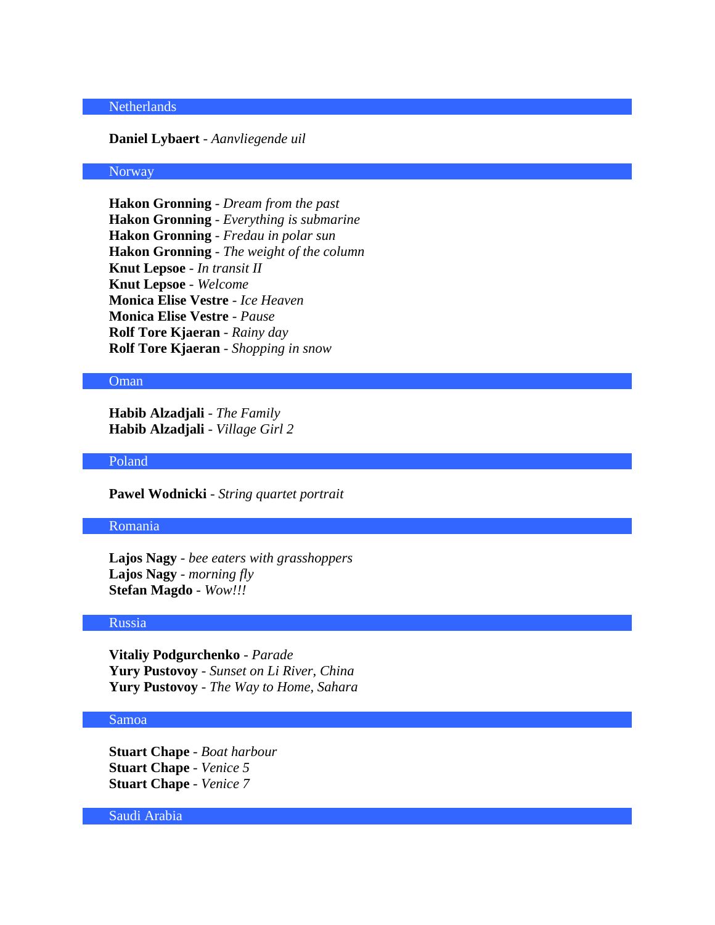## Netherlands

#### **Daniel Lybaert** - *Aanvliegende uil*

# **Norway**

**Hakon Gronning** - *Dream from the past* **Hakon Gronning** - *Everything is submarine* **Hakon Gronning** - *Fredau in polar sun* **Hakon Gronning** - *The weight of the column* **Knut Lepsoe** - *In transit II* **Knut Lepsoe** - *Welcome* **Monica Elise Vestre** - *Ice Heaven* **Monica Elise Vestre** - *Pause* **Rolf Tore Kjaeran** - *Rainy day* **Rolf Tore Kjaeran** - *Shopping in snow*

# Oman

**Habib Alzadjali** - *The Family* **Habib Alzadjali** - *Village Girl 2*

#### Poland

**Pawel Wodnicki** - *String quartet portrait*

#### Romania

**Lajos Nagy** - *bee eaters with grasshoppers* **Lajos Nagy** - *morning fly* **Stefan Magdo** - *Wow!!!*

#### Russia

**Vitaliy Podgurchenko** - *Parade* **Yury Pustovoy** - *Sunset on Li River, China* **Yury Pustovoy** - *The Way to Home, Sahara*

## Samoa

**Stuart Chape** - *Boat harbour* **Stuart Chape** - *Venice 5* **Stuart Chape** - *Venice 7*

Saudi Arabia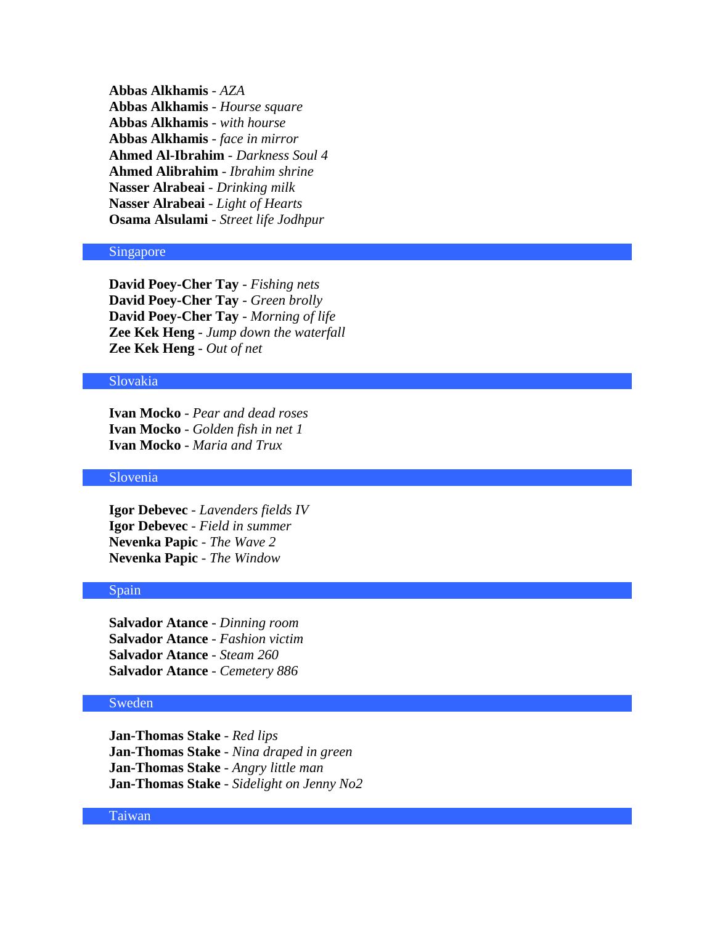**Abbas Alkhamis** - *AZA* **Abbas Alkhamis** - *Hourse square* **Abbas Alkhamis** - *with hourse* **Abbas Alkhamis** - *face in mirror* **Ahmed Al-Ibrahim** - *Darkness Soul 4* **Ahmed Alibrahim** - *Ibrahim shrine* **Nasser Alrabeai** - *Drinking milk* **Nasser Alrabeai** - *Light of Hearts* **Osama Alsulami** - *Street life Jodhpur*

#### Singapore

**David Poey-Cher Tay** - *Fishing nets* **David Poey-Cher Tay** - *Green brolly* **David Poey-Cher Tay** - *Morning of life* **Zee Kek Heng** - *Jump down the waterfall* **Zee Kek Heng** - *Out of net*

# Slovakia

**Ivan Mocko** - *Pear and dead roses* **Ivan Mocko** - *Golden fish in net 1* **Ivan Mocko** - *Maria and Trux*

#### Slovenia

**Igor Debevec** - *Lavenders fields IV* **Igor Debevec** - *Field in summer* **Nevenka Papic** - *The Wave 2* **Nevenka Papic** - *The Window*

## Spain

**Salvador Atance** - *Dinning room* **Salvador Atance** - *Fashion victim* **Salvador Atance** - *Steam 260* **Salvador Atance** - *Cemetery 886*

## Sweden

**Jan-Thomas Stake** - *Red lips* **Jan-Thomas Stake** - *Nina draped in green* **Jan-Thomas Stake** - *Angry little man* **Jan-Thomas Stake** - *Sidelight on Jenny No2*

#### Taiwan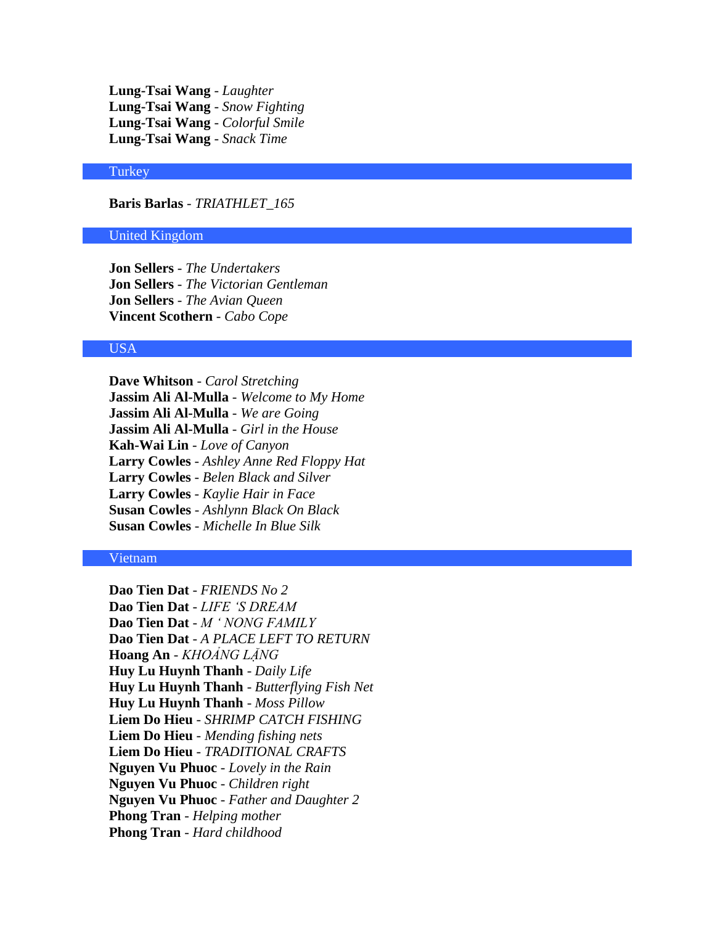**Lung-Tsai Wang** - *Laughter* **Lung-Tsai Wang** - *Snow Fighting* **Lung-Tsai Wang** - *Colorful Smile* **Lung-Tsai Wang** - *Snack Time*

### **Turkey**

**Baris Barlas** - *TRIATHLET\_165*

#### United Kingdom

**Jon Sellers** - *The Undertakers* **Jon Sellers** - *The Victorian Gentleman* **Jon Sellers** - *The Avian Queen* **Vincent Scothern** - *Cabo Cope*

# USA

**Dave Whitson** - *Carol Stretching* **Jassim Ali Al-Mulla** - *Welcome to My Home* **Jassim Ali Al-Mulla** - *We are Going* **Jassim Ali Al-Mulla** - *Girl in the House* **Kah-Wai Lin** - *Love of Canyon* **Larry Cowles** - *Ashley Anne Red Floppy Hat* **Larry Cowles** - *Belen Black and Silver* **Larry Cowles** - *Kaylie Hair in Face* **Susan Cowles** - *Ashlynn Black On Black* **Susan Cowles** - *Michelle In Blue Silk*

## Vietnam

**Dao Tien Dat** - *FRIENDS No 2* Dao Tien Dat - LIFE 'S DREAM **Dao Tien Dat** - *M ' NONG FAMILY* **Dao Tien Dat** - *A PLACE LEFT TO RETURN* **Hoang An** - **Huy Lu Huynh Thanh** - *Daily Life* **Huy Lu Huynh Thanh** - *Butterflying Fish Net* **Huy Lu Huynh Thanh** - *Moss Pillow* **Liem Do Hieu** - *SHRIMP CATCH FISHING* **Liem Do Hieu** - *Mending fishing nets* **Liem Do Hieu** - *TRADITIONAL CRAFTS* **Nguyen Vu Phuoc** - *Lovely in the Rain* **Nguyen Vu Phuoc** - *Children right* **Nguyen Vu Phuoc** - *Father and Daughter 2* **Phong Tran** - *Helping mother* **Phong Tran** - *Hard childhood*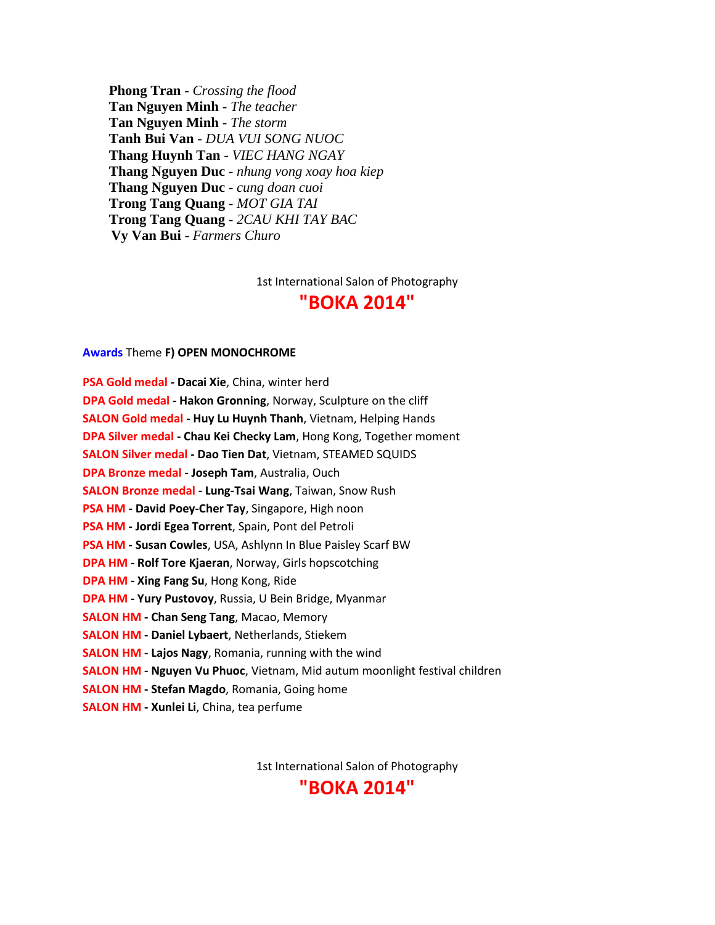**Phong Tran** - *Crossing the flood* **Tan Nguyen Minh** - *The teacher* **Tan Nguyen Minh** - *The storm* **Tanh Bui Van** - *DUA VUI SONG NUOC* **Thang Huynh Tan** - *VIEC HANG NGAY* **Thang Nguyen Duc** - *nhung vong xoay hoa kiep* **Thang Nguyen Duc** - *cung doan cuoi* **Trong Tang Quang** - *MOT GIA TAI* **Trong Tang Quang** - *2CAU KHI TAY BAC* **Vy Van Bui** - *Farmers Churo*

1st International Salon of Photography

# **"BOKA 2014"**

#### **Awards** Theme **F) OPEN MONOCHROME**

**PSA Gold medal - Dacai Xie**, China, winter herd **DPA Gold medal - Hakon Gronning**, Norway, Sculpture on the cliff **SALON Gold medal - Huy Lu Huynh Thanh**, Vietnam, Helping Hands **DPA Silver medal - Chau Kei Checky Lam**, Hong Kong, Together moment **SALON Silver medal - Dao Tien Dat**, Vietnam, STEAMED SQUIDS **DPA Bronze medal - Joseph Tam**, Australia, Ouch **SALON Bronze medal - Lung-Tsai Wang**, Taiwan, Snow Rush **PSA HM - David Poey-Cher Tay**, Singapore, High noon **PSA HM - Jordi Egea Torrent**, Spain, Pont del Petroli **PSA HM - Susan Cowles**, USA, Ashlynn In Blue Paisley Scarf BW **DPA HM - Rolf Tore Kjaeran**, Norway, Girls hopscotching **DPA HM - Xing Fang Su**, Hong Kong, Ride **DPA HM - Yury Pustovoy**, Russia, U Bein Bridge, Myanmar **SALON HM - Chan Seng Tang**, Macao, Memory **SALON HM - Daniel Lybaert**, Netherlands, Stiekem **SALON HM - Lajos Nagy**, Romania, running with the wind **SALON HM - Nguyen Vu Phuoc**, Vietnam, Mid autum moonlight festival children **SALON HM - Stefan Magdo**, Romania, Going home

**SALON HM - Xunlei Li**, China, tea perfume

1st International Salon of Photography

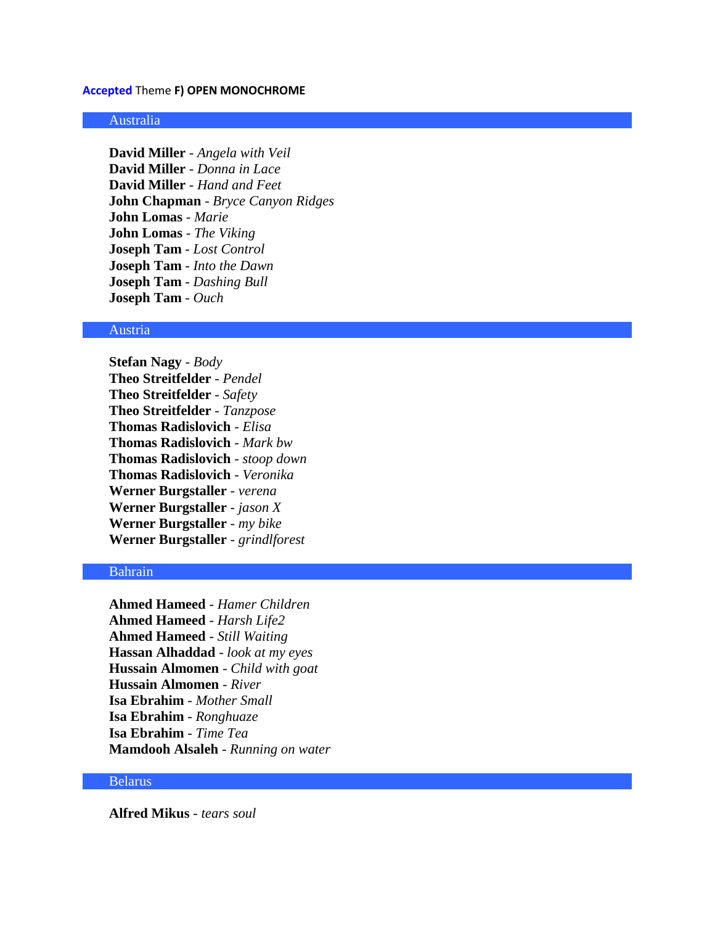#### **Accepted** Theme **F) OPEN MONOCHROME**

#### Australia

**David Miller** - *Angela with Veil* **David Miller** - *Donna in Lace* **David Miller** - *Hand and Feet* **John Chapman** - *Bryce Canyon Ridges* **John Lomas** - *Marie* **John Lomas** - *The Viking* **Joseph Tam** - *Lost Control* **Joseph Tam** - *Into the Dawn* **Joseph Tam** - *Dashing Bull* **Joseph Tam** - *Ouch*

#### Austria

**Stefan Nagy** - *Body* **Theo Streitfelder** - *Pendel* **Theo Streitfelder** - *Safety* **Theo Streitfelder** - *Tanzpose* **Thomas Radislovich** - *Elisa* **Thomas Radislovich** - *Mark bw* **Thomas Radislovich** - *stoop down* **Thomas Radislovich** - *Veronika* **Werner Burgstaller** - *verena* **Werner Burgstaller** - *jason X* **Werner Burgstaller** - *my bike* **Werner Burgstaller** - *grindlforest*

# Bahrain

**Ahmed Hameed** - *Hamer Children* **Ahmed Hameed** - *Harsh Life2* **Ahmed Hameed** - *Still Waiting* **Hassan Alhaddad** - *look at my eyes* **Hussain Almomen** - *Child with goat* **Hussain Almomen** - *River* **Isa Ebrahim** - *Mother Small* **Isa Ebrahim** - *Ronghuaze* **Isa Ebrahim** - *Time Tea* **Mamdooh Alsaleh** - *Running on water*

# Belarus

**Alfred Mikus** - *tears soul*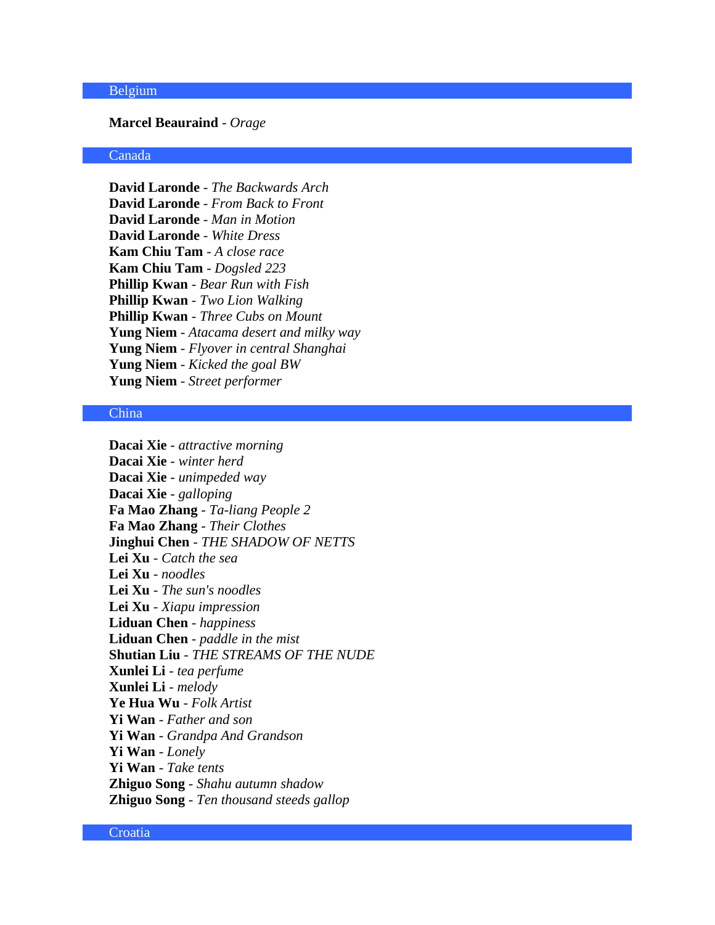## Belgium

#### **Marcel Beauraind** - *Orage*

# Canada

**David Laronde** - *The Backwards Arch* **David Laronde** - *From Back to Front* **David Laronde** - *Man in Motion* **David Laronde** - *White Dress* **Kam Chiu Tam** - *A close race* **Kam Chiu Tam** - *Dogsled 223* **Phillip Kwan** - *Bear Run with Fish* **Phillip Kwan** - *Two Lion Walking* **Phillip Kwan** - *Three Cubs on Mount* **Yung Niem** - *Atacama desert and milky way* **Yung Niem** - *Flyover in central Shanghai* **Yung Niem** - *Kicked the goal BW* **Yung Niem** - *Street performer*

# China

**Dacai Xie** - *attractive morning* **Dacai Xie** - *winter herd* **Dacai Xie** - *unimpeded way* **Dacai Xie** - *galloping* **Fa Mao Zhang** - *Ta-liang People 2* **Fa Mao Zhang** - *Their Clothes* **Jinghui Chen** - *THE SHADOW OF NETTS* **Lei Xu** - *Catch the sea* **Lei Xu** - *noodles* **Lei Xu** - *The sun's noodles* **Lei Xu** - *Xiapu impression* **Liduan Chen** - *happiness* **Liduan Chen** - *paddle in the mist* **Shutian Liu** - *THE STREAMS OF THE NUDE* **Xunlei Li** - *tea perfume* **Xunlei Li** - *melody* **Ye Hua Wu** - *Folk Artist* **Yi Wan** - *Father and son* **Yi Wan** - *Grandpa And Grandson* **Yi Wan** - *Lonely* **Yi Wan** - *Take tents* **Zhiguo Song** - *Shahu autumn shadow* **Zhiguo Song** - *Ten thousand steeds gallop*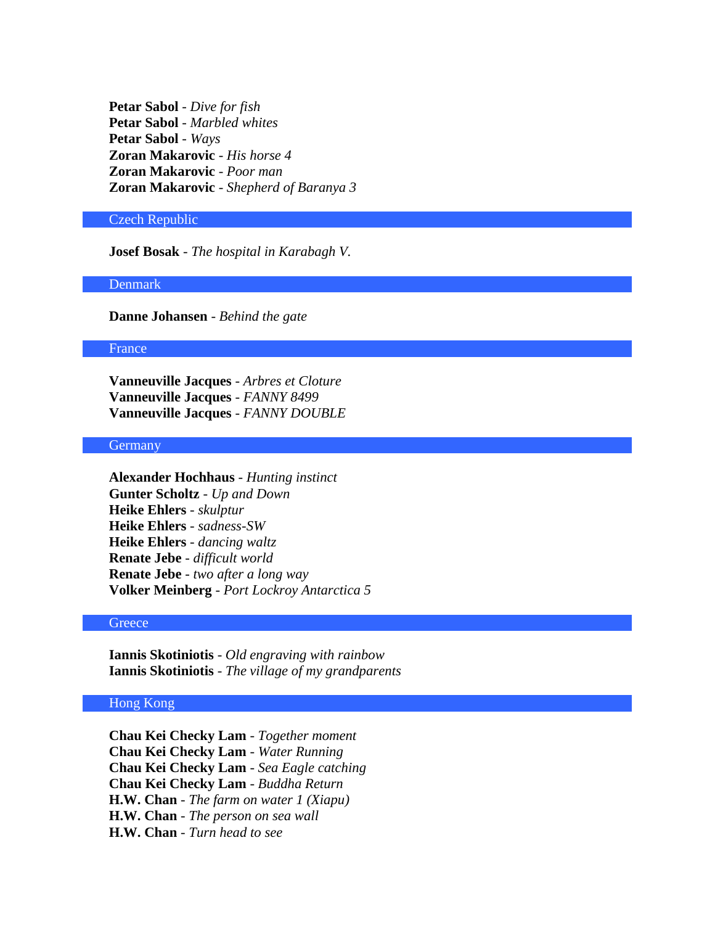**Petar Sabol** - *Dive for fish* **Petar Sabol** - *Marbled whites* **Petar Sabol** - *Ways* **Zoran Makarovic** - *His horse 4* **Zoran Makarovic** - *Poor man* **Zoran Makarovic** - *Shepherd of Baranya 3*

#### Czech Republic

**Josef Bosak** - *The hospital in Karabagh V.*

Denmark

**Danne Johansen** - *Behind the gate*

#### France

**Vanneuville Jacques** - *Arbres et Cloture* **Vanneuville Jacques** - *FANNY 8499* **Vanneuville Jacques** - *FANNY DOUBLE*

## **Germany**

**Alexander Hochhaus** - *Hunting instinct* **Gunter Scholtz** - *Up and Down* **Heike Ehlers** - *skulptur* **Heike Ehlers** - *sadness-SW* **Heike Ehlers** - *dancing waltz* **Renate Jebe** - *difficult world* **Renate Jebe** - *two after a long way* **Volker Meinberg** - *Port Lockroy Antarctica 5*

# **Greece**

**Iannis Skotiniotis** - *Old engraving with rainbow* **Iannis Skotiniotis** - *The village of my grandparents*

# Hong Kong

**Chau Kei Checky Lam** - *Together moment* **Chau Kei Checky Lam** - *Water Running* **Chau Kei Checky Lam** - *Sea Eagle catching* **Chau Kei Checky Lam** - *Buddha Return* **H.W. Chan** - *The farm on water 1 (Xiapu)* **H.W. Chan** - *The person on sea wall* **H.W. Chan** - *Turn head to see*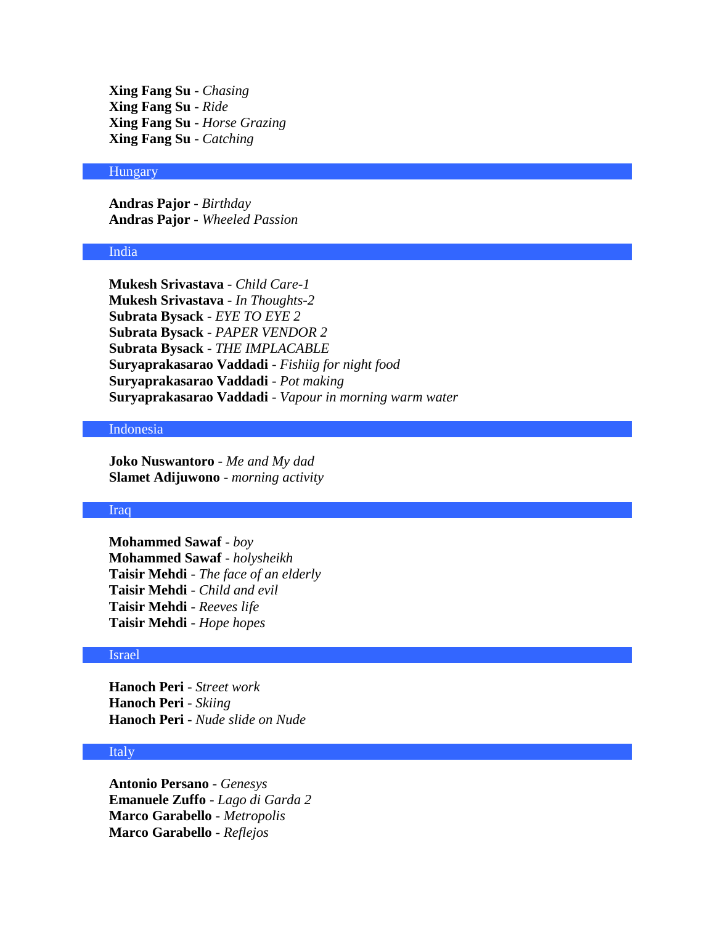**Xing Fang Su** - *Chasing* **Xing Fang Su** - *Ride* **Xing Fang Su** - *Horse Grazing* **Xing Fang Su** - *Catching*

#### Hungary

**Andras Pajor** - *Birthday* **Andras Pajor** - *Wheeled Passion*

#### India

**Mukesh Srivastava** - *Child Care-1* **Mukesh Srivastava** - *In Thoughts-2* **Subrata Bysack** - *EYE TO EYE 2* **Subrata Bysack** - *PAPER VENDOR 2* **Subrata Bysack** - *THE IMPLACABLE* **Suryaprakasarao Vaddadi** - *Fishiig for night food* **Suryaprakasarao Vaddadi** - *Pot making* **Suryaprakasarao Vaddadi** - *Vapour in morning warm water*

# Indonesia

**Joko Nuswantoro** - *Me and My dad* **Slamet Adijuwono** - *morning activity*

#### Iraq

**Mohammed Sawaf** - *boy* **Mohammed Sawaf** - *holysheikh* **Taisir Mehdi** - *The face of an elderly* **Taisir Mehdi** - *Child and evil* **Taisir Mehdi** - *Reeves life* **Taisir Mehdi** - *Hope hopes*

#### Israel

**Hanoch Peri** - *Street work* **Hanoch Peri** - *Skiing* **Hanoch Peri** - *Nude slide on Nude*

# Italy

**Antonio Persano** - *Genesys* **Emanuele Zuffo** - *Lago di Garda 2* **Marco Garabello** - *Metropolis* **Marco Garabello** - *Reflejos*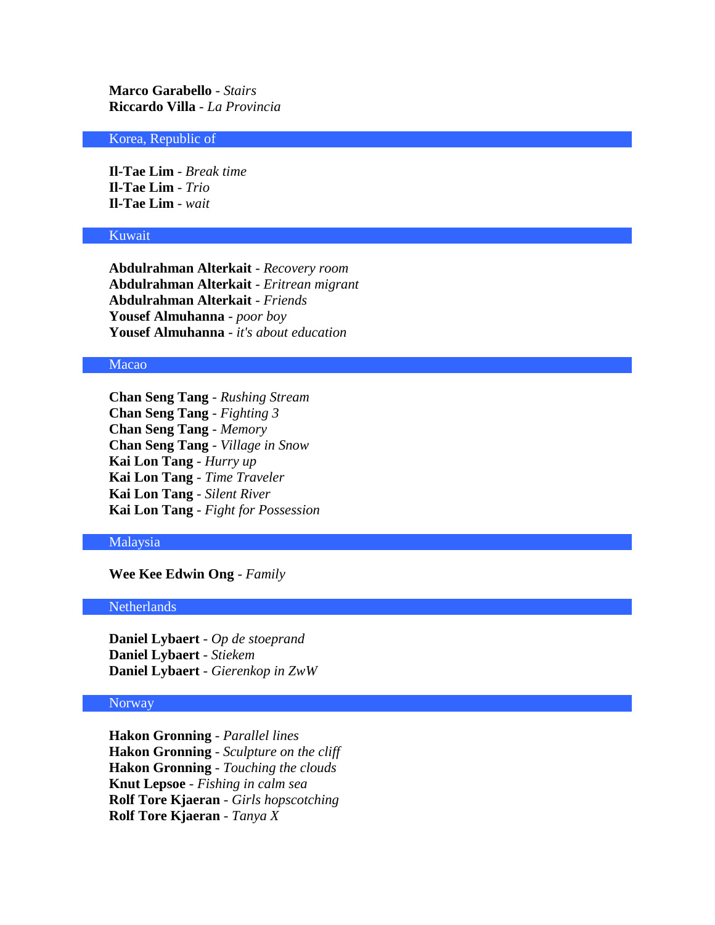**Marco Garabello** - *Stairs* **Riccardo Villa** - *La Provincia*

## Korea, Republic of

**Il-Tae Lim** - *Break time* **Il-Tae Lim** - *Trio* **Il-Tae Lim** - *wait*

#### Kuwait

**Abdulrahman Alterkait** - *Recovery room* **Abdulrahman Alterkait** - *Eritrean migrant* **Abdulrahman Alterkait** - *Friends* **Yousef Almuhanna** - *poor boy* **Yousef Almuhanna** - *it's about education*

#### Macao

**Chan Seng Tang** - *Rushing Stream* **Chan Seng Tang** - *Fighting 3* **Chan Seng Tang** - *Memory* **Chan Seng Tang** - *Village in Snow* **Kai Lon Tang** - *Hurry up* **Kai Lon Tang** - *Time Traveler* **Kai Lon Tang** - *Silent River* **Kai Lon Tang** - *Fight for Possession*

#### Malaysia

**Wee Kee Edwin Ong** - *Family*

# Netherlands

**Daniel Lybaert** - *Op de stoeprand* **Daniel Lybaert** - *Stiekem* **Daniel Lybaert** - *Gierenkop in ZwW*

#### **Norway**

**Hakon Gronning** - *Parallel lines* **Hakon Gronning** - *Sculpture on the cliff* **Hakon Gronning** - *Touching the clouds* **Knut Lepsoe** - *Fishing in calm sea* **Rolf Tore Kjaeran** - *Girls hopscotching* **Rolf Tore Kjaeran** - *Tanya X*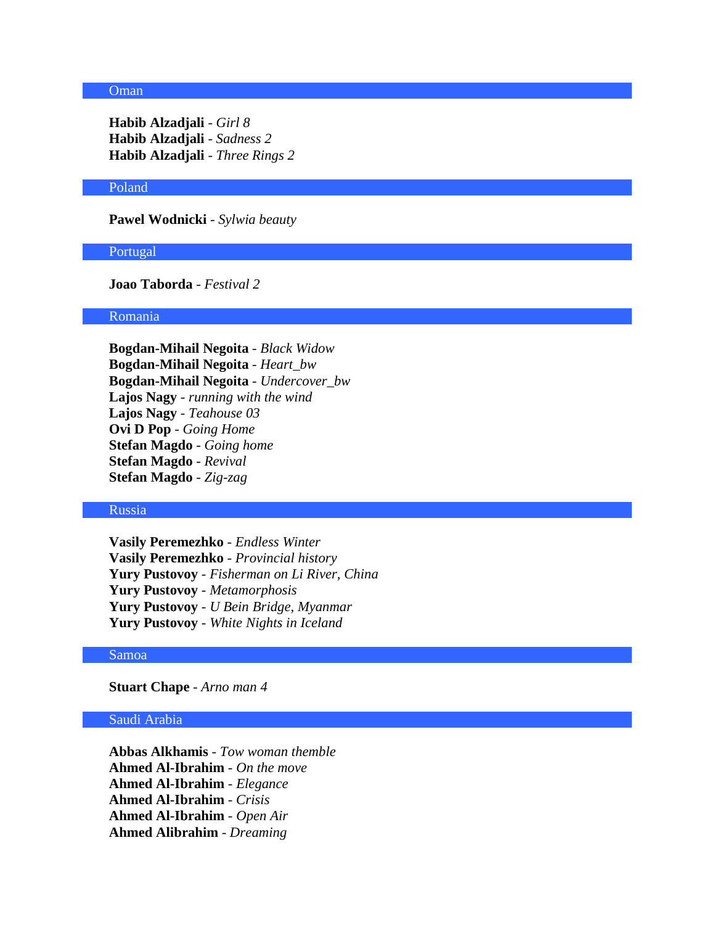#### Oman

**Habib Alzadjali** - *Girl 8* **Habib Alzadjali** - *Sadness 2* **Habib Alzadjali** - *Three Rings 2*

#### Poland

**Pawel Wodnicki** - *Sylwia beauty*

#### Portugal

**Joao Taborda** - *Festival 2*

#### Romania

**Bogdan-Mihail Negoita** - *Black Widow* **Bogdan-Mihail Negoita** - *Heart\_bw* **Bogdan-Mihail Negoita** - *Undercover\_bw* **Lajos Nagy** - *running with the wind* **Lajos Nagy** - *Teahouse 03* **Ovi D Pop** - *Going Home* **Stefan Magdo** - *Going home* **Stefan Magdo** - *Revival* **Stefan Magdo** - *Zig-zag*

# Russia

**Vasily Peremezhko** - *Endless Winter* **Vasily Peremezhko** - *Provincial history* **Yury Pustovoy** - *Fisherman on Li River, China* **Yury Pustovoy** - *Metamorphosis* **Yury Pustovoy** - *U Bein Bridge, Myanmar* **Yury Pustovoy** - *White Nights in Iceland*

#### Samoa

**Stuart Chape** - *Arno man 4*

# Saudi Arabia

**Abbas Alkhamis** - *Tow woman themble* **Ahmed Al-Ibrahim** - *On the move* **Ahmed Al-Ibrahim** - *Elegance* **Ahmed Al-Ibrahim** - *Crisis* **Ahmed Al-Ibrahim** - *Open Air* **Ahmed Alibrahim** - *Dreaming*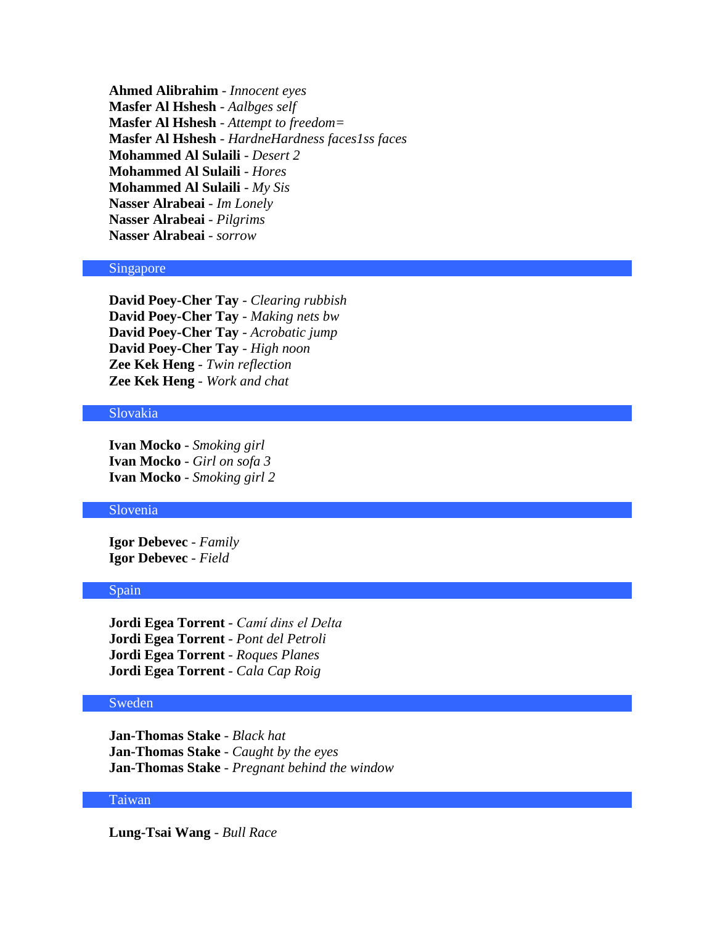**Ahmed Alibrahim** - *Innocent eyes* **Masfer Al Hshesh** - *Aalbges self* **Masfer Al Hshesh** - *Attempt to freedom=* **Masfer Al Hshesh** - *HardneHardness faces1ss faces* **Mohammed Al Sulaili** - *Desert 2* **Mohammed Al Sulaili** - *Hores* **Mohammed Al Sulaili** - *My Sis* **Nasser Alrabeai** - *Im Lonely* **Nasser Alrabeai** - *Pilgrims* **Nasser Alrabeai** - *sorrow*

#### Singapore

**David Poey-Cher Tay** - *Clearing rubbish* **David Poey-Cher Tay** - *Making nets bw* **David Poey-Cher Tay** - *Acrobatic jump* **David Poey-Cher Tay** - *High noon* **Zee Kek Heng** - *Twin reflection* **Zee Kek Heng** - *Work and chat*

## Slovakia

**Ivan Mocko** - *Smoking girl* **Ivan Mocko** - *Girl on sofa 3* **Ivan Mocko** - *Smoking girl 2*

#### Slovenia

**Igor Debevec** - *Family* **Igor Debevec** - *Field*

# Spain

**Jordi Egea Torrent** - Camí dins el Delta **Jordi Egea Torrent** - *Pont del Petroli* **Jordi Egea Torrent** - *Roques Planes* **Jordi Egea Torrent** - *Cala Cap Roig*

# Sweden

**Jan-Thomas Stake** - *Black hat* **Jan-Thomas Stake** - *Caught by the eyes* **Jan-Thomas Stake** - *Pregnant behind the window*

#### Taiwan

**Lung-Tsai Wang** - *Bull Race*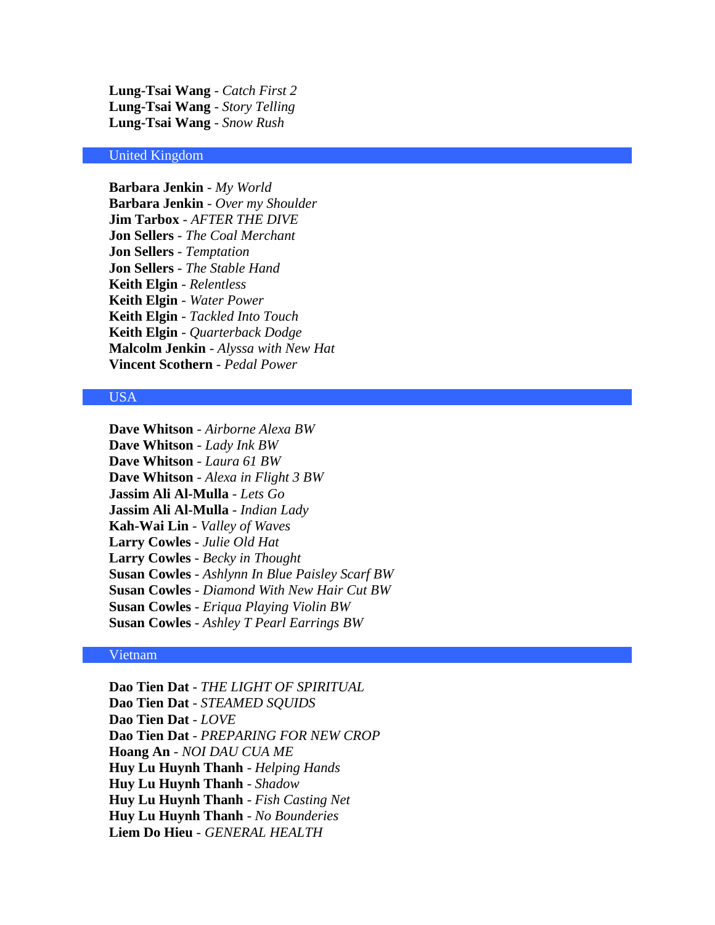**Lung-Tsai Wang** - *Catch First 2* **Lung-Tsai Wang** - *Story Telling* **Lung-Tsai Wang** - *Snow Rush*

# United Kingdom

**Barbara Jenkin** - *My World* **Barbara Jenkin** - *Over my Shoulder* **Jim Tarbox** - *AFTER THE DIVE* **Jon Sellers** - *The Coal Merchant* **Jon Sellers** - *Temptation* **Jon Sellers** - *The Stable Hand* **Keith Elgin** - *Relentless* **Keith Elgin** - *Water Power* **Keith Elgin** - *Tackled Into Touch* **Keith Elgin** - *Quarterback Dodge* **Malcolm Jenkin** - *Alyssa with New Hat* **Vincent Scothern** - *Pedal Power*

# USA

**Dave Whitson** - *Airborne Alexa BW* **Dave Whitson** - *Lady Ink BW* **Dave Whitson** - *Laura 61 BW* **Dave Whitson** - *Alexa in Flight 3 BW* **Jassim Ali Al-Mulla** - *Lets Go* **Jassim Ali Al-Mulla** - *Indian Lady* **Kah-Wai Lin** - *Valley of Waves* **Larry Cowles** - *Julie Old Hat* **Larry Cowles** - *Becky in Thought* **Susan Cowles** - *Ashlynn In Blue Paisley Scarf BW* **Susan Cowles** - *Diamond With New Hair Cut BW* **Susan Cowles** - *Eriqua Playing Violin BW* **Susan Cowles** - *Ashley T Pearl Earrings BW*

#### Vietnam

**Dao Tien Dat** - *THE LIGHT OF SPIRITUAL* **Dao Tien Dat** - *STEAMED SQUIDS* **Dao Tien Dat** - *LOVE* **Dao Tien Dat** - *PREPARING FOR NEW CROP* **Hoang An** - *NOI DAU CUA ME* **Huy Lu Huynh Thanh** - *Helping Hands* **Huy Lu Huynh Thanh** - *Shadow* **Huy Lu Huynh Thanh** - *Fish Casting Net* **Huy Lu Huynh Thanh** - *No Bounderies* **Liem Do Hieu** - *GENERAL HEALTH*